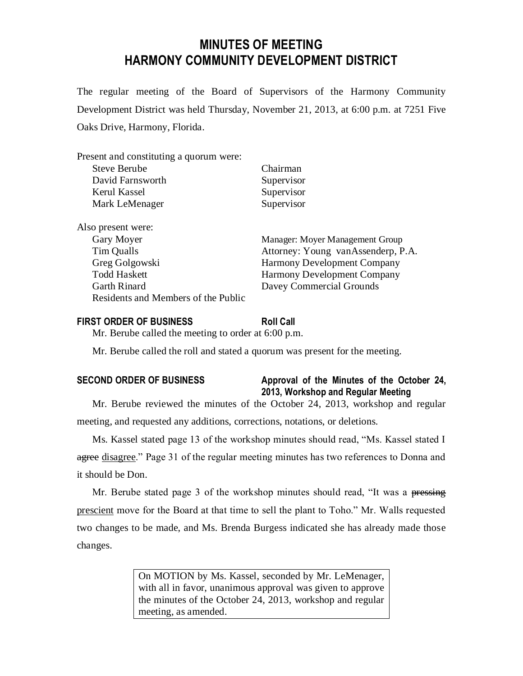# **MINUTES OF MEETING HARMONY COMMUNITY DEVELOPMENT DISTRICT**

The regular meeting of the Board of Supervisors of the Harmony Community Development District was held Thursday, November 21, 2013, at 6:00 p.m. at 7251 Five Oaks Drive, Harmony, Florida.

| Present and constituting a quorum were: |                                    |
|-----------------------------------------|------------------------------------|
| Steve Berube                            | Chairman                           |
| David Farnsworth                        | Supervisor                         |
| Kerul Kassel                            | Supervisor                         |
| Mark LeMenager                          | Supervisor                         |
| Also present were:                      |                                    |
| Gary Moyer                              | Manager: Moyer Management Group    |
| Tim Qualls                              | Attorney: Young vanAssenderp, P.A. |
| Greg Golgowski                          | <b>Harmony Development Company</b> |
| <b>Todd Haskett</b>                     | <b>Harmony Development Company</b> |
| <b>Garth Rinard</b>                     | Davey Commercial Grounds           |
| Residents and Members of the Public     |                                    |

#### **FIRST ORDER OF BUSINESS Roll Call**

Mr. Berube called the meeting to order at 6:00 p.m.

Mr. Berube called the roll and stated a quorum was present for the meeting.

# **SECOND ORDER OF BUSINESS Approval of the Minutes of the October 24, 2013, Workshop and Regular Meeting**

Mr. Berube reviewed the minutes of the October 24, 2013, workshop and regular meeting, and requested any additions, corrections, notations, or deletions.

Ms. Kassel stated page 13 of the workshop minutes should read, "Ms. Kassel stated I agree disagree." Page 31 of the regular meeting minutes has two references to Donna and it should be Don.

Mr. Berube stated page 3 of the workshop minutes should read, "It was a pressing prescient move for the Board at that time to sell the plant to Toho." Mr. Walls requested two changes to be made, and Ms. Brenda Burgess indicated she has already made those changes.

> On MOTION by Ms. Kassel, seconded by Mr. LeMenager, with all in favor, unanimous approval was given to approve the minutes of the October 24, 2013, workshop and regular meeting, as amended.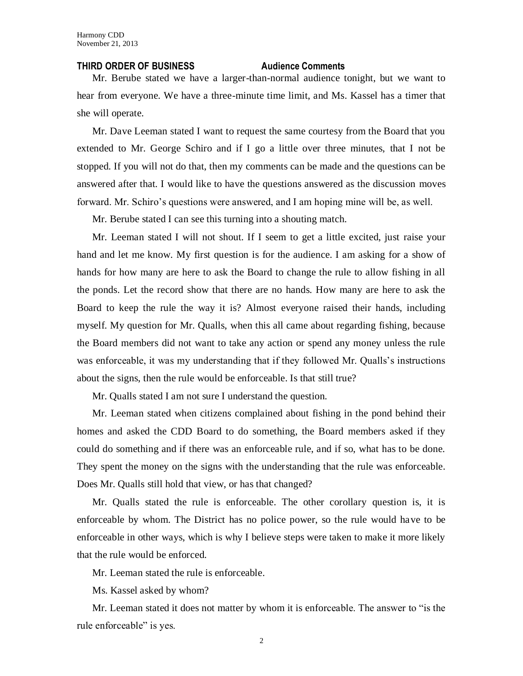#### **THIRD ORDER OF BUSINESS Audience Comments**

Mr. Berube stated we have a larger-than-normal audience tonight, but we want to hear from everyone. We have a three-minute time limit, and Ms. Kassel has a timer that she will operate.

Mr. Dave Leeman stated I want to request the same courtesy from the Board that you extended to Mr. George Schiro and if I go a little over three minutes, that I not be stopped. If you will not do that, then my comments can be made and the questions can be answered after that. I would like to have the questions answered as the discussion moves forward. Mr. Schiro's questions were answered, and I am hoping mine will be, as well.

Mr. Berube stated I can see this turning into a shouting match.

Mr. Leeman stated I will not shout. If I seem to get a little excited, just raise your hand and let me know. My first question is for the audience. I am asking for a show of hands for how many are here to ask the Board to change the rule to allow fishing in all the ponds. Let the record show that there are no hands. How many are here to ask the Board to keep the rule the way it is? Almost everyone raised their hands, including myself. My question for Mr. Qualls, when this all came about regarding fishing, because the Board members did not want to take any action or spend any money unless the rule was enforceable, it was my understanding that if they followed Mr. Qualls's instructions about the signs, then the rule would be enforceable. Is that still true?

Mr. Qualls stated I am not sure I understand the question.

Mr. Leeman stated when citizens complained about fishing in the pond behind their homes and asked the CDD Board to do something, the Board members asked if they could do something and if there was an enforceable rule, and if so, what has to be done. They spent the money on the signs with the understanding that the rule was enforceable. Does Mr. Qualls still hold that view, or has that changed?

Mr. Qualls stated the rule is enforceable. The other corollary question is, it is enforceable by whom. The District has no police power, so the rule would have to be enforceable in other ways, which is why I believe steps were taken to make it more likely that the rule would be enforced.

Mr. Leeman stated the rule is enforceable.

Ms. Kassel asked by whom?

Mr. Leeman stated it does not matter by whom it is enforceable. The answer to "is the rule enforceable" is yes.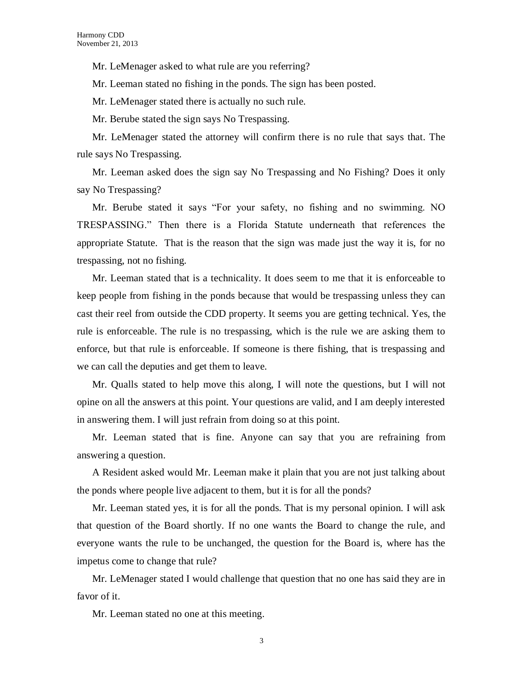Mr. LeMenager asked to what rule are you referring?

Mr. Leeman stated no fishing in the ponds. The sign has been posted.

Mr. LeMenager stated there is actually no such rule.

Mr. Berube stated the sign says No Trespassing.

Mr. LeMenager stated the attorney will confirm there is no rule that says that. The rule says No Trespassing.

Mr. Leeman asked does the sign say No Trespassing and No Fishing? Does it only say No Trespassing?

Mr. Berube stated it says "For your safety, no fishing and no swimming. NO TRESPASSING." Then there is a Florida Statute underneath that references the appropriate Statute. That is the reason that the sign was made just the way it is, for no trespassing, not no fishing.

Mr. Leeman stated that is a technicality. It does seem to me that it is enforceable to keep people from fishing in the ponds because that would be trespassing unless they can cast their reel from outside the CDD property. It seems you are getting technical. Yes, the rule is enforceable. The rule is no trespassing, which is the rule we are asking them to enforce, but that rule is enforceable. If someone is there fishing, that is trespassing and we can call the deputies and get them to leave.

Mr. Qualls stated to help move this along, I will note the questions, but I will not opine on all the answers at this point. Your questions are valid, and I am deeply interested in answering them. I will just refrain from doing so at this point.

Mr. Leeman stated that is fine. Anyone can say that you are refraining from answering a question.

A Resident asked would Mr. Leeman make it plain that you are not just talking about the ponds where people live adjacent to them, but it is for all the ponds?

Mr. Leeman stated yes, it is for all the ponds. That is my personal opinion. I will ask that question of the Board shortly. If no one wants the Board to change the rule, and everyone wants the rule to be unchanged, the question for the Board is, where has the impetus come to change that rule?

Mr. LeMenager stated I would challenge that question that no one has said they are in favor of it.

Mr. Leeman stated no one at this meeting.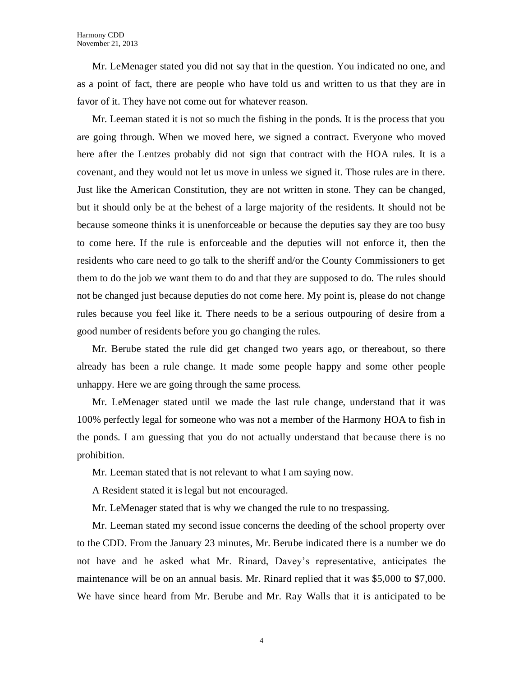Mr. LeMenager stated you did not say that in the question. You indicated no one, and as a point of fact, there are people who have told us and written to us that they are in favor of it. They have not come out for whatever reason.

Mr. Leeman stated it is not so much the fishing in the ponds. It is the process that you are going through. When we moved here, we signed a contract. Everyone who moved here after the Lentzes probably did not sign that contract with the HOA rules. It is a covenant, and they would not let us move in unless we signed it. Those rules are in there. Just like the American Constitution, they are not written in stone. They can be changed, but it should only be at the behest of a large majority of the residents. It should not be because someone thinks it is unenforceable or because the deputies say they are too busy to come here. If the rule is enforceable and the deputies will not enforce it, then the residents who care need to go talk to the sheriff and/or the County Commissioners to get them to do the job we want them to do and that they are supposed to do. The rules should not be changed just because deputies do not come here. My point is, please do not change rules because you feel like it. There needs to be a serious outpouring of desire from a good number of residents before you go changing the rules.

Mr. Berube stated the rule did get changed two years ago, or thereabout, so there already has been a rule change. It made some people happy and some other people unhappy. Here we are going through the same process.

Mr. LeMenager stated until we made the last rule change, understand that it was 100% perfectly legal for someone who was not a member of the Harmony HOA to fish in the ponds. I am guessing that you do not actually understand that because there is no prohibition.

Mr. Leeman stated that is not relevant to what I am saying now.

A Resident stated it is legal but not encouraged.

Mr. LeMenager stated that is why we changed the rule to no trespassing.

Mr. Leeman stated my second issue concerns the deeding of the school property over to the CDD. From the January 23 minutes, Mr. Berube indicated there is a number we do not have and he asked what Mr. Rinard, Davey's representative, anticipates the maintenance will be on an annual basis. Mr. Rinard replied that it was \$5,000 to \$7,000. We have since heard from Mr. Berube and Mr. Ray Walls that it is anticipated to be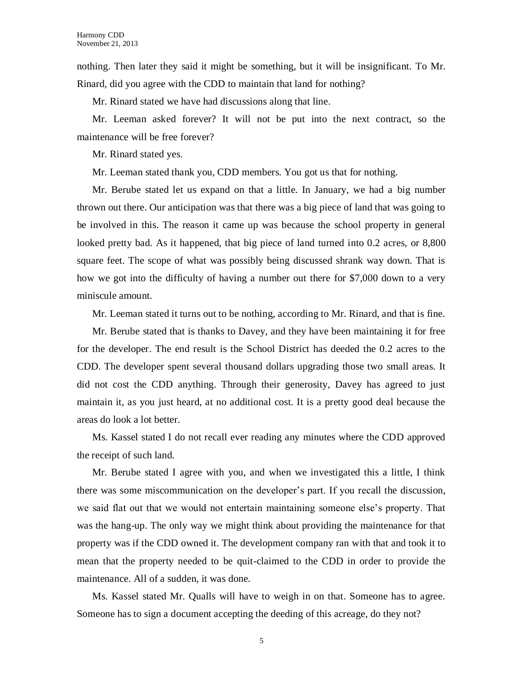nothing. Then later they said it might be something, but it will be insignificant. To Mr. Rinard, did you agree with the CDD to maintain that land for nothing?

Mr. Rinard stated we have had discussions along that line.

Mr. Leeman asked forever? It will not be put into the next contract, so the maintenance will be free forever?

Mr. Rinard stated yes.

Mr. Leeman stated thank you, CDD members. You got us that for nothing.

Mr. Berube stated let us expand on that a little. In January, we had a big number thrown out there. Our anticipation was that there was a big piece of land that was going to be involved in this. The reason it came up was because the school property in general looked pretty bad. As it happened, that big piece of land turned into 0.2 acres, or 8,800 square feet. The scope of what was possibly being discussed shrank way down. That is how we got into the difficulty of having a number out there for \$7,000 down to a very miniscule amount.

Mr. Leeman stated it turns out to be nothing, according to Mr. Rinard, and that is fine.

Mr. Berube stated that is thanks to Davey, and they have been maintaining it for free for the developer. The end result is the School District has deeded the 0.2 acres to the CDD. The developer spent several thousand dollars upgrading those two small areas. It did not cost the CDD anything. Through their generosity, Davey has agreed to just maintain it, as you just heard, at no additional cost. It is a pretty good deal because the areas do look a lot better.

Ms. Kassel stated I do not recall ever reading any minutes where the CDD approved the receipt of such land.

Mr. Berube stated I agree with you, and when we investigated this a little, I think there was some miscommunication on the developer's part. If you recall the discussion, we said flat out that we would not entertain maintaining someone else's property. That was the hang-up. The only way we might think about providing the maintenance for that property was if the CDD owned it. The development company ran with that and took it to mean that the property needed to be quit-claimed to the CDD in order to provide the maintenance. All of a sudden, it was done.

Ms. Kassel stated Mr. Qualls will have to weigh in on that. Someone has to agree. Someone has to sign a document accepting the deeding of this acreage, do they not?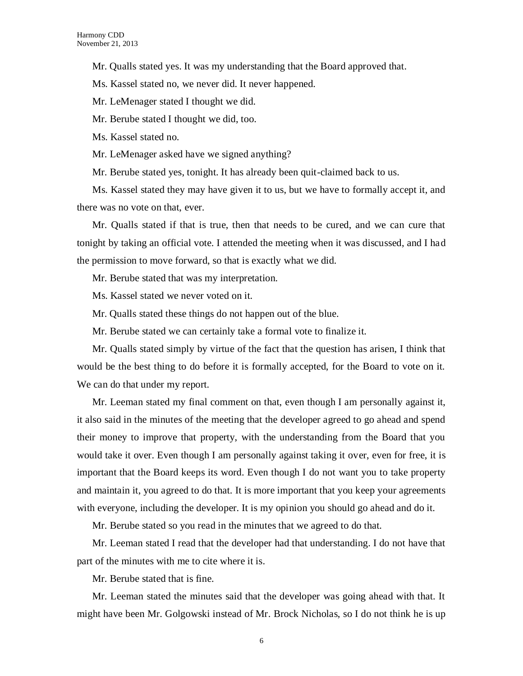Mr. Qualls stated yes. It was my understanding that the Board approved that.

Ms. Kassel stated no, we never did. It never happened.

Mr. LeMenager stated I thought we did.

Mr. Berube stated I thought we did, too.

Ms. Kassel stated no.

Mr. LeMenager asked have we signed anything?

Mr. Berube stated yes, tonight. It has already been quit-claimed back to us.

Ms. Kassel stated they may have given it to us, but we have to formally accept it, and there was no vote on that, ever.

Mr. Qualls stated if that is true, then that needs to be cured, and we can cure that tonight by taking an official vote. I attended the meeting when it was discussed, and I had the permission to move forward, so that is exactly what we did.

Mr. Berube stated that was my interpretation.

Ms. Kassel stated we never voted on it.

Mr. Qualls stated these things do not happen out of the blue.

Mr. Berube stated we can certainly take a formal vote to finalize it.

Mr. Qualls stated simply by virtue of the fact that the question has arisen, I think that would be the best thing to do before it is formally accepted, for the Board to vote on it. We can do that under my report.

Mr. Leeman stated my final comment on that, even though I am personally against it, it also said in the minutes of the meeting that the developer agreed to go ahead and spend their money to improve that property, with the understanding from the Board that you would take it over. Even though I am personally against taking it over, even for free, it is important that the Board keeps its word. Even though I do not want you to take property and maintain it, you agreed to do that. It is more important that you keep your agreements with everyone, including the developer. It is my opinion you should go ahead and do it.

Mr. Berube stated so you read in the minutes that we agreed to do that.

Mr. Leeman stated I read that the developer had that understanding. I do not have that part of the minutes with me to cite where it is.

Mr. Berube stated that is fine.

Mr. Leeman stated the minutes said that the developer was going ahead with that. It might have been Mr. Golgowski instead of Mr. Brock Nicholas, so I do not think he is up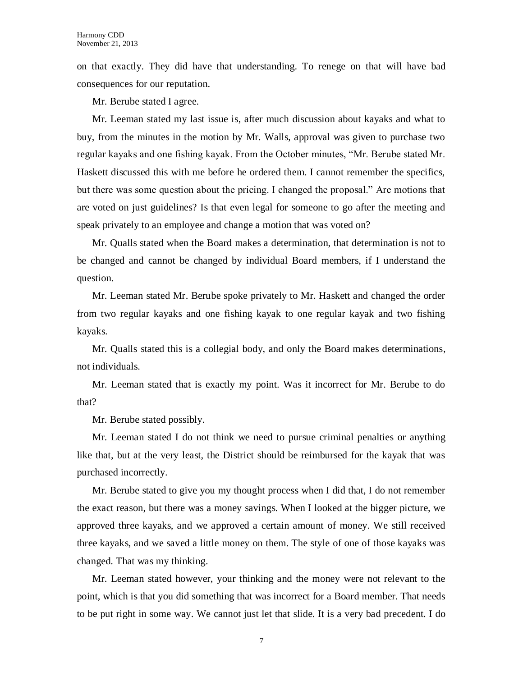on that exactly. They did have that understanding. To renege on that will have bad consequences for our reputation.

Mr. Berube stated I agree.

Mr. Leeman stated my last issue is, after much discussion about kayaks and what to buy, from the minutes in the motion by Mr. Walls, approval was given to purchase two regular kayaks and one fishing kayak. From the October minutes, "Mr. Berube stated Mr. Haskett discussed this with me before he ordered them. I cannot remember the specifics, but there was some question about the pricing. I changed the proposal." Are motions that are voted on just guidelines? Is that even legal for someone to go after the meeting and speak privately to an employee and change a motion that was voted on?

Mr. Qualls stated when the Board makes a determination, that determination is not to be changed and cannot be changed by individual Board members, if I understand the question.

Mr. Leeman stated Mr. Berube spoke privately to Mr. Haskett and changed the order from two regular kayaks and one fishing kayak to one regular kayak and two fishing kayaks.

Mr. Qualls stated this is a collegial body, and only the Board makes determinations, not individuals.

Mr. Leeman stated that is exactly my point. Was it incorrect for Mr. Berube to do that?

Mr. Berube stated possibly.

Mr. Leeman stated I do not think we need to pursue criminal penalties or anything like that, but at the very least, the District should be reimbursed for the kayak that was purchased incorrectly.

Mr. Berube stated to give you my thought process when I did that, I do not remember the exact reason, but there was a money savings. When I looked at the bigger picture, we approved three kayaks, and we approved a certain amount of money. We still received three kayaks, and we saved a little money on them. The style of one of those kayaks was changed. That was my thinking.

Mr. Leeman stated however, your thinking and the money were not relevant to the point, which is that you did something that was incorrect for a Board member. That needs to be put right in some way. We cannot just let that slide. It is a very bad precedent. I do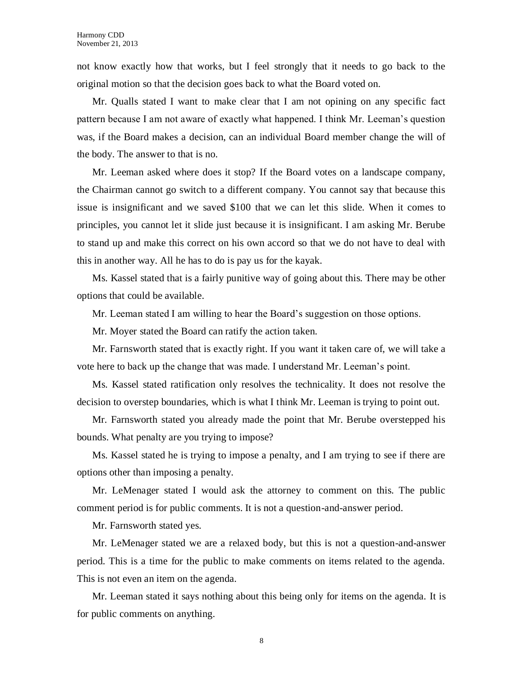not know exactly how that works, but I feel strongly that it needs to go back to the original motion so that the decision goes back to what the Board voted on.

Mr. Qualls stated I want to make clear that I am not opining on any specific fact pattern because I am not aware of exactly what happened. I think Mr. Leeman's question was, if the Board makes a decision, can an individual Board member change the will of the body. The answer to that is no.

Mr. Leeman asked where does it stop? If the Board votes on a landscape company, the Chairman cannot go switch to a different company. You cannot say that because this issue is insignificant and we saved \$100 that we can let this slide. When it comes to principles, you cannot let it slide just because it is insignificant. I am asking Mr. Berube to stand up and make this correct on his own accord so that we do not have to deal with this in another way. All he has to do is pay us for the kayak.

Ms. Kassel stated that is a fairly punitive way of going about this. There may be other options that could be available.

Mr. Leeman stated I am willing to hear the Board's suggestion on those options.

Mr. Moyer stated the Board can ratify the action taken.

Mr. Farnsworth stated that is exactly right. If you want it taken care of, we will take a vote here to back up the change that was made. I understand Mr. Leeman's point.

Ms. Kassel stated ratification only resolves the technicality. It does not resolve the decision to overstep boundaries, which is what I think Mr. Leeman is trying to point out.

Mr. Farnsworth stated you already made the point that Mr. Berube overstepped his bounds. What penalty are you trying to impose?

Ms. Kassel stated he is trying to impose a penalty, and I am trying to see if there are options other than imposing a penalty.

Mr. LeMenager stated I would ask the attorney to comment on this. The public comment period is for public comments. It is not a question-and-answer period.

Mr. Farnsworth stated yes.

Mr. LeMenager stated we are a relaxed body, but this is not a question-and-answer period. This is a time for the public to make comments on items related to the agenda. This is not even an item on the agenda.

Mr. Leeman stated it says nothing about this being only for items on the agenda. It is for public comments on anything.

8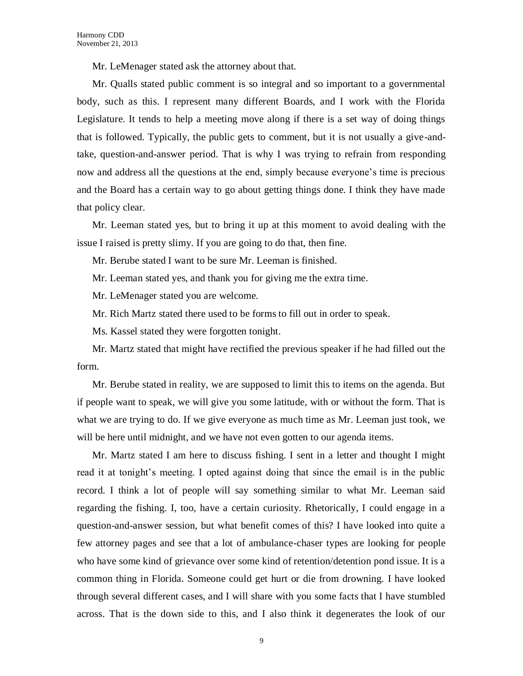Mr. LeMenager stated ask the attorney about that.

Mr. Qualls stated public comment is so integral and so important to a governmental body, such as this. I represent many different Boards, and I work with the Florida Legislature. It tends to help a meeting move along if there is a set way of doing things that is followed. Typically, the public gets to comment, but it is not usually a give-andtake, question-and-answer period. That is why I was trying to refrain from responding now and address all the questions at the end, simply because everyone's time is precious and the Board has a certain way to go about getting things done. I think they have made that policy clear.

Mr. Leeman stated yes, but to bring it up at this moment to avoid dealing with the issue I raised is pretty slimy. If you are going to do that, then fine.

Mr. Berube stated I want to be sure Mr. Leeman is finished.

Mr. Leeman stated yes, and thank you for giving me the extra time.

Mr. LeMenager stated you are welcome.

Mr. Rich Martz stated there used to be forms to fill out in order to speak.

Ms. Kassel stated they were forgotten tonight.

Mr. Martz stated that might have rectified the previous speaker if he had filled out the form.

Mr. Berube stated in reality, we are supposed to limit this to items on the agenda. But if people want to speak, we will give you some latitude, with or without the form. That is what we are trying to do. If we give everyone as much time as Mr. Leeman just took, we will be here until midnight, and we have not even gotten to our agenda items.

Mr. Martz stated I am here to discuss fishing. I sent in a letter and thought I might read it at tonight's meeting. I opted against doing that since the email is in the public record. I think a lot of people will say something similar to what Mr. Leeman said regarding the fishing. I, too, have a certain curiosity. Rhetorically, I could engage in a question-and-answer session, but what benefit comes of this? I have looked into quite a few attorney pages and see that a lot of ambulance-chaser types are looking for people who have some kind of grievance over some kind of retention/detention pond issue. It is a common thing in Florida. Someone could get hurt or die from drowning. I have looked through several different cases, and I will share with you some facts that I have stumbled across. That is the down side to this, and I also think it degenerates the look of our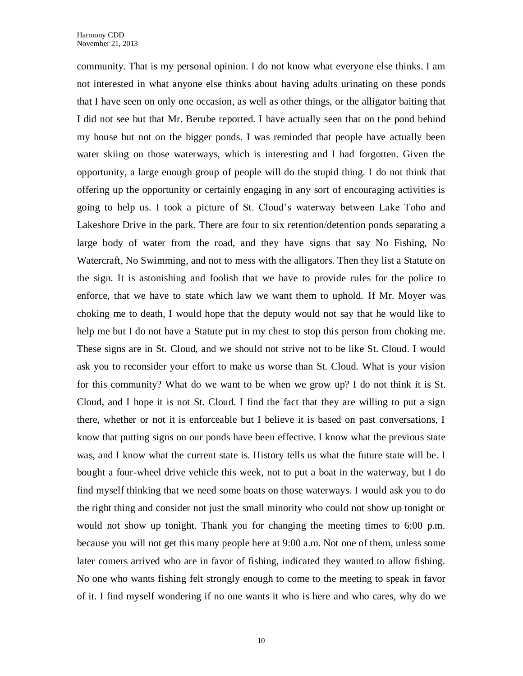community. That is my personal opinion. I do not know what everyone else thinks. I am not interested in what anyone else thinks about having adults urinating on these ponds that I have seen on only one occasion, as well as other things, or the alligator baiting that I did not see but that Mr. Berube reported. I have actually seen that on the pond behind my house but not on the bigger ponds. I was reminded that people have actually been water skiing on those waterways, which is interesting and I had forgotten. Given the opportunity, a large enough group of people will do the stupid thing. I do not think that offering up the opportunity or certainly engaging in any sort of encouraging activities is going to help us. I took a picture of St. Cloud's waterway between Lake Toho and Lakeshore Drive in the park. There are four to six retention/detention ponds separating a large body of water from the road, and they have signs that say No Fishing, No Watercraft, No Swimming, and not to mess with the alligators. Then they list a Statute on the sign. It is astonishing and foolish that we have to provide rules for the police to enforce, that we have to state which law we want them to uphold. If Mr. Moyer was choking me to death, I would hope that the deputy would not say that he would like to help me but I do not have a Statute put in my chest to stop this person from choking me. These signs are in St. Cloud, and we should not strive not to be like St. Cloud. I would ask you to reconsider your effort to make us worse than St. Cloud. What is your vision for this community? What do we want to be when we grow up? I do not think it is St. Cloud, and I hope it is not St. Cloud. I find the fact that they are willing to put a sign there, whether or not it is enforceable but I believe it is based on past conversations, I know that putting signs on our ponds have been effective. I know what the previous state was, and I know what the current state is. History tells us what the future state will be. I bought a four-wheel drive vehicle this week, not to put a boat in the waterway, but I do find myself thinking that we need some boats on those waterways. I would ask you to do the right thing and consider not just the small minority who could not show up tonight or would not show up tonight. Thank you for changing the meeting times to 6:00 p.m. because you will not get this many people here at 9:00 a.m. Not one of them, unless some later comers arrived who are in favor of fishing, indicated they wanted to allow fishing. No one who wants fishing felt strongly enough to come to the meeting to speak in favor of it. I find myself wondering if no one wants it who is here and who cares, why do we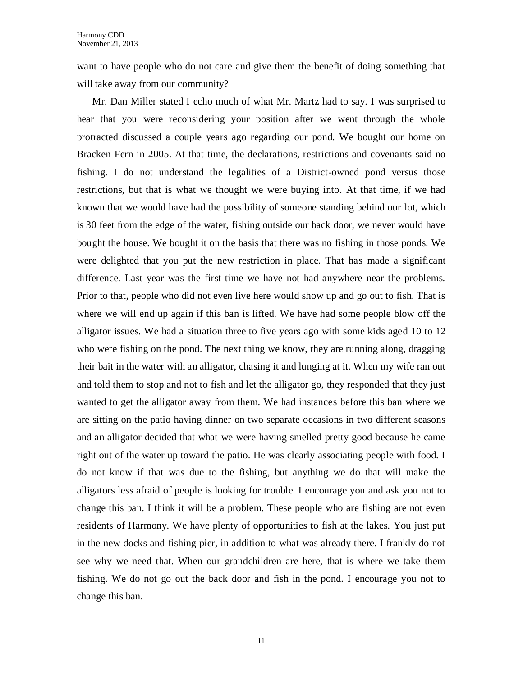want to have people who do not care and give them the benefit of doing something that will take away from our community?

Mr. Dan Miller stated I echo much of what Mr. Martz had to say. I was surprised to hear that you were reconsidering your position after we went through the whole protracted discussed a couple years ago regarding our pond. We bought our home on Bracken Fern in 2005. At that time, the declarations, restrictions and covenants said no fishing. I do not understand the legalities of a District-owned pond versus those restrictions, but that is what we thought we were buying into. At that time, if we had known that we would have had the possibility of someone standing behind our lot, which is 30 feet from the edge of the water, fishing outside our back door, we never would have bought the house. We bought it on the basis that there was no fishing in those ponds. We were delighted that you put the new restriction in place. That has made a significant difference. Last year was the first time we have not had anywhere near the problems. Prior to that, people who did not even live here would show up and go out to fish. That is where we will end up again if this ban is lifted. We have had some people blow off the alligator issues. We had a situation three to five years ago with some kids aged 10 to 12 who were fishing on the pond. The next thing we know, they are running along, dragging their bait in the water with an alligator, chasing it and lunging at it. When my wife ran out and told them to stop and not to fish and let the alligator go, they responded that they just wanted to get the alligator away from them. We had instances before this ban where we are sitting on the patio having dinner on two separate occasions in two different seasons and an alligator decided that what we were having smelled pretty good because he came right out of the water up toward the patio. He was clearly associating people with food. I do not know if that was due to the fishing, but anything we do that will make the alligators less afraid of people is looking for trouble. I encourage you and ask you not to change this ban. I think it will be a problem. These people who are fishing are not even residents of Harmony. We have plenty of opportunities to fish at the lakes. You just put in the new docks and fishing pier, in addition to what was already there. I frankly do not see why we need that. When our grandchildren are here, that is where we take them fishing. We do not go out the back door and fish in the pond. I encourage you not to change this ban.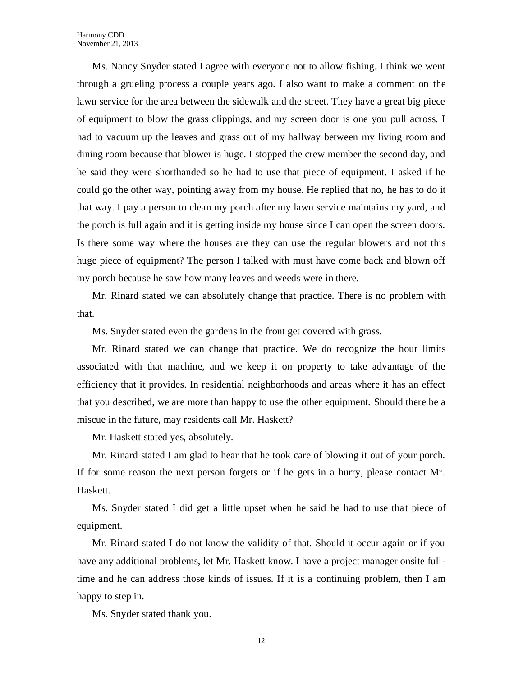Ms. Nancy Snyder stated I agree with everyone not to allow fishing. I think we went through a grueling process a couple years ago. I also want to make a comment on the lawn service for the area between the sidewalk and the street. They have a great big piece of equipment to blow the grass clippings, and my screen door is one you pull across. I had to vacuum up the leaves and grass out of my hallway between my living room and dining room because that blower is huge. I stopped the crew member the second day, and he said they were shorthanded so he had to use that piece of equipment. I asked if he could go the other way, pointing away from my house. He replied that no, he has to do it that way. I pay a person to clean my porch after my lawn service maintains my yard, and the porch is full again and it is getting inside my house since I can open the screen doors. Is there some way where the houses are they can use the regular blowers and not this huge piece of equipment? The person I talked with must have come back and blown off my porch because he saw how many leaves and weeds were in there.

Mr. Rinard stated we can absolutely change that practice. There is no problem with that.

Ms. Snyder stated even the gardens in the front get covered with grass.

Mr. Rinard stated we can change that practice. We do recognize the hour limits associated with that machine, and we keep it on property to take advantage of the efficiency that it provides. In residential neighborhoods and areas where it has an effect that you described, we are more than happy to use the other equipment. Should there be a miscue in the future, may residents call Mr. Haskett?

Mr. Haskett stated yes, absolutely.

Mr. Rinard stated I am glad to hear that he took care of blowing it out of your porch. If for some reason the next person forgets or if he gets in a hurry, please contact Mr. Haskett.

Ms. Snyder stated I did get a little upset when he said he had to use that piece of equipment.

Mr. Rinard stated I do not know the validity of that. Should it occur again or if you have any additional problems, let Mr. Haskett know. I have a project manager onsite fulltime and he can address those kinds of issues. If it is a continuing problem, then I am happy to step in.

Ms. Snyder stated thank you.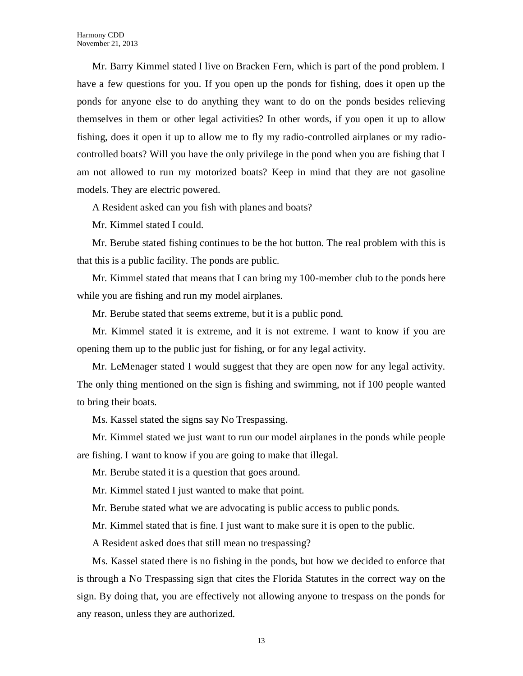Mr. Barry Kimmel stated I live on Bracken Fern, which is part of the pond problem. I have a few questions for you. If you open up the ponds for fishing, does it open up the ponds for anyone else to do anything they want to do on the ponds besides relieving themselves in them or other legal activities? In other words, if you open it up to allow fishing, does it open it up to allow me to fly my radio-controlled airplanes or my radiocontrolled boats? Will you have the only privilege in the pond when you are fishing that I am not allowed to run my motorized boats? Keep in mind that they are not gasoline models. They are electric powered.

A Resident asked can you fish with planes and boats?

Mr. Kimmel stated I could.

Mr. Berube stated fishing continues to be the hot button. The real problem with this is that this is a public facility. The ponds are public.

Mr. Kimmel stated that means that I can bring my 100-member club to the ponds here while you are fishing and run my model airplanes.

Mr. Berube stated that seems extreme, but it is a public pond.

Mr. Kimmel stated it is extreme, and it is not extreme. I want to know if you are opening them up to the public just for fishing, or for any legal activity.

Mr. LeMenager stated I would suggest that they are open now for any legal activity. The only thing mentioned on the sign is fishing and swimming, not if 100 people wanted to bring their boats.

Ms. Kassel stated the signs say No Trespassing.

Mr. Kimmel stated we just want to run our model airplanes in the ponds while people are fishing. I want to know if you are going to make that illegal.

Mr. Berube stated it is a question that goes around.

Mr. Kimmel stated I just wanted to make that point.

Mr. Berube stated what we are advocating is public access to public ponds.

Mr. Kimmel stated that is fine. I just want to make sure it is open to the public.

A Resident asked does that still mean no trespassing?

Ms. Kassel stated there is no fishing in the ponds, but how we decided to enforce that is through a No Trespassing sign that cites the Florida Statutes in the correct way on the sign. By doing that, you are effectively not allowing anyone to trespass on the ponds for any reason, unless they are authorized.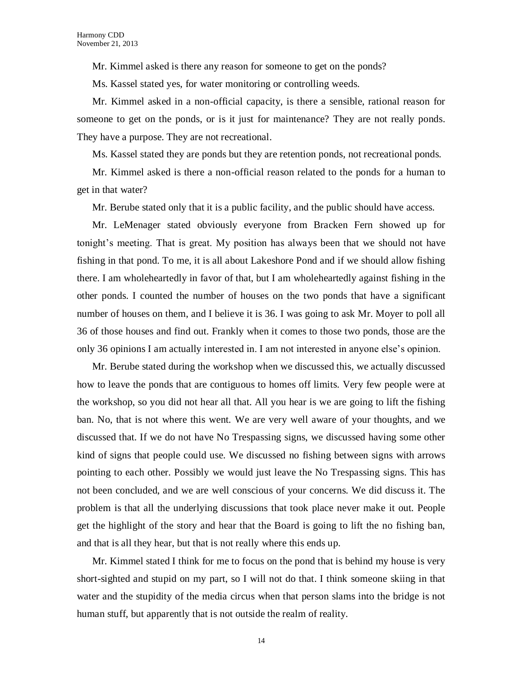Mr. Kimmel asked is there any reason for someone to get on the ponds?

Ms. Kassel stated yes, for water monitoring or controlling weeds.

Mr. Kimmel asked in a non-official capacity, is there a sensible, rational reason for someone to get on the ponds, or is it just for maintenance? They are not really ponds. They have a purpose. They are not recreational.

Ms. Kassel stated they are ponds but they are retention ponds, not recreational ponds.

Mr. Kimmel asked is there a non-official reason related to the ponds for a human to get in that water?

Mr. Berube stated only that it is a public facility, and the public should have access.

Mr. LeMenager stated obviously everyone from Bracken Fern showed up for tonight's meeting. That is great. My position has always been that we should not have fishing in that pond. To me, it is all about Lakeshore Pond and if we should allow fishing there. I am wholeheartedly in favor of that, but I am wholeheartedly against fishing in the other ponds. I counted the number of houses on the two ponds that have a significant number of houses on them, and I believe it is 36. I was going to ask Mr. Moyer to poll all 36 of those houses and find out. Frankly when it comes to those two ponds, those are the only 36 opinions I am actually interested in. I am not interested in anyone else's opinion.

Mr. Berube stated during the workshop when we discussed this, we actually discussed how to leave the ponds that are contiguous to homes off limits. Very few people were at the workshop, so you did not hear all that. All you hear is we are going to lift the fishing ban. No, that is not where this went. We are very well aware of your thoughts, and we discussed that. If we do not have No Trespassing signs, we discussed having some other kind of signs that people could use. We discussed no fishing between signs with arrows pointing to each other. Possibly we would just leave the No Trespassing signs. This has not been concluded, and we are well conscious of your concerns. We did discuss it. The problem is that all the underlying discussions that took place never make it out. People get the highlight of the story and hear that the Board is going to lift the no fishing ban, and that is all they hear, but that is not really where this ends up.

Mr. Kimmel stated I think for me to focus on the pond that is behind my house is very short-sighted and stupid on my part, so I will not do that. I think someone skiing in that water and the stupidity of the media circus when that person slams into the bridge is not human stuff, but apparently that is not outside the realm of reality.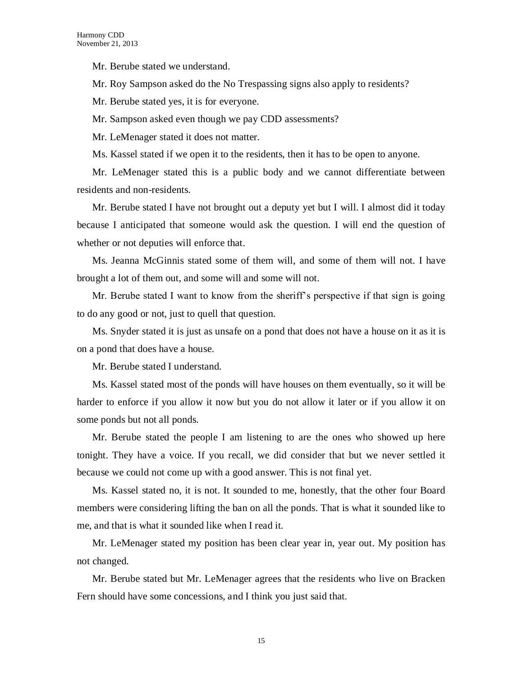Mr. Berube stated we understand.

Mr. Roy Sampson asked do the No Trespassing signs also apply to residents?

Mr. Berube stated yes, it is for everyone.

Mr. Sampson asked even though we pay CDD assessments?

Mr. LeMenager stated it does not matter.

Ms. Kassel stated if we open it to the residents, then it has to be open to anyone.

Mr. LeMenager stated this is a public body and we cannot differentiate between residents and non-residents.

Mr. Berube stated I have not brought out a deputy yet but I will. I almost did it today because I anticipated that someone would ask the question. I will end the question of whether or not deputies will enforce that.

Ms. Jeanna McGinnis stated some of them will, and some of them will not. I have brought a lot of them out, and some will and some will not.

Mr. Berube stated I want to know from the sheriff's perspective if that sign is going to do any good or not, just to quell that question.

Ms. Snyder stated it is just as unsafe on a pond that does not have a house on it as it is on a pond that does have a house.

Mr. Berube stated I understand.

Ms. Kassel stated most of the ponds will have houses on them eventually, so it will be harder to enforce if you allow it now but you do not allow it later or if you allow it on some ponds but not all ponds.

Mr. Berube stated the people I am listening to are the ones who showed up here tonight. They have a voice. If you recall, we did consider that but we never settled it because we could not come up with a good answer. This is not final yet.

Ms. Kassel stated no, it is not. It sounded to me, honestly, that the other four Board members were considering lifting the ban on all the ponds. That is what it sounded like to me, and that is what it sounded like when I read it.

Mr. LeMenager stated my position has been clear year in, year out. My position has not changed.

Mr. Berube stated but Mr. LeMenager agrees that the residents who live on Bracken Fern should have some concessions, and I think you just said that.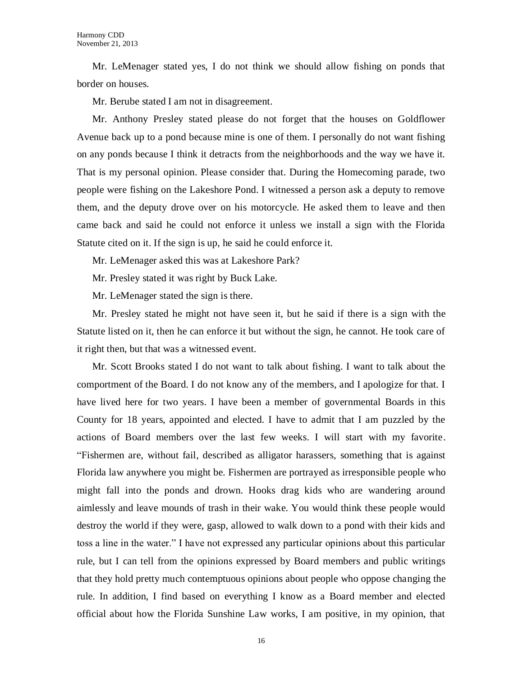Mr. LeMenager stated yes, I do not think we should allow fishing on ponds that border on houses.

Mr. Berube stated I am not in disagreement.

Mr. Anthony Presley stated please do not forget that the houses on Goldflower Avenue back up to a pond because mine is one of them. I personally do not want fishing on any ponds because I think it detracts from the neighborhoods and the way we have it. That is my personal opinion. Please consider that. During the Homecoming parade, two people were fishing on the Lakeshore Pond. I witnessed a person ask a deputy to remove them, and the deputy drove over on his motorcycle. He asked them to leave and then came back and said he could not enforce it unless we install a sign with the Florida Statute cited on it. If the sign is up, he said he could enforce it.

Mr. LeMenager asked this was at Lakeshore Park?

Mr. Presley stated it was right by Buck Lake.

Mr. LeMenager stated the sign is there.

Mr. Presley stated he might not have seen it, but he said if there is a sign with the Statute listed on it, then he can enforce it but without the sign, he cannot. He took care of it right then, but that was a witnessed event.

Mr. Scott Brooks stated I do not want to talk about fishing. I want to talk about the comportment of the Board. I do not know any of the members, and I apologize for that. I have lived here for two years. I have been a member of governmental Boards in this County for 18 years, appointed and elected. I have to admit that I am puzzled by the actions of Board members over the last few weeks. I will start with my favorite. "Fishermen are, without fail, described as alligator harassers, something that is against Florida law anywhere you might be. Fishermen are portrayed as irresponsible people who might fall into the ponds and drown. Hooks drag kids who are wandering around aimlessly and leave mounds of trash in their wake. You would think these people would destroy the world if they were, gasp, allowed to walk down to a pond with their kids and toss a line in the water." I have not expressed any particular opinions about this particular rule, but I can tell from the opinions expressed by Board members and public writings that they hold pretty much contemptuous opinions about people who oppose changing the rule. In addition, I find based on everything I know as a Board member and elected official about how the Florida Sunshine Law works, I am positive, in my opinion, that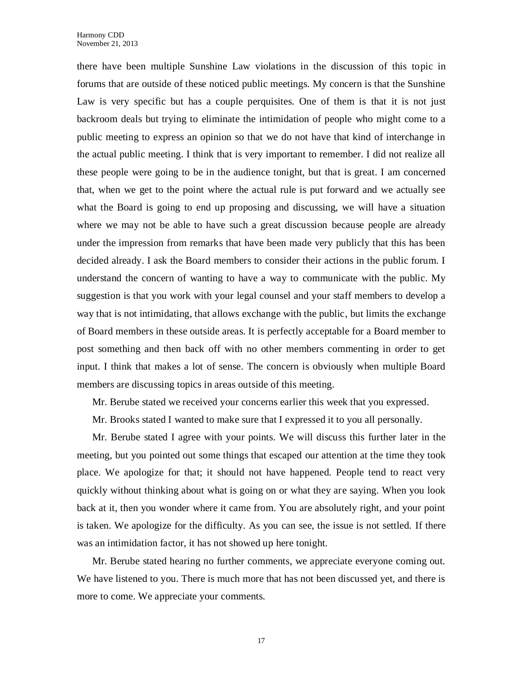there have been multiple Sunshine Law violations in the discussion of this topic in forums that are outside of these noticed public meetings. My concern is that the Sunshine Law is very specific but has a couple perquisites. One of them is that it is not just backroom deals but trying to eliminate the intimidation of people who might come to a public meeting to express an opinion so that we do not have that kind of interchange in the actual public meeting. I think that is very important to remember. I did not realize all these people were going to be in the audience tonight, but that is great. I am concerned that, when we get to the point where the actual rule is put forward and we actually see what the Board is going to end up proposing and discussing, we will have a situation where we may not be able to have such a great discussion because people are already under the impression from remarks that have been made very publicly that this has been decided already. I ask the Board members to consider their actions in the public forum. I understand the concern of wanting to have a way to communicate with the public. My suggestion is that you work with your legal counsel and your staff members to develop a way that is not intimidating, that allows exchange with the public, but limits the exchange of Board members in these outside areas. It is perfectly acceptable for a Board member to post something and then back off with no other members commenting in order to get input. I think that makes a lot of sense. The concern is obviously when multiple Board members are discussing topics in areas outside of this meeting.

Mr. Berube stated we received your concerns earlier this week that you expressed.

Mr. Brooks stated I wanted to make sure that I expressed it to you all personally.

Mr. Berube stated I agree with your points. We will discuss this further later in the meeting, but you pointed out some things that escaped our attention at the time they took place. We apologize for that; it should not have happened. People tend to react very quickly without thinking about what is going on or what they are saying. When you look back at it, then you wonder where it came from. You are absolutely right, and your point is taken. We apologize for the difficulty. As you can see, the issue is not settled. If there was an intimidation factor, it has not showed up here tonight.

Mr. Berube stated hearing no further comments, we appreciate everyone coming out. We have listened to you. There is much more that has not been discussed yet, and there is more to come. We appreciate your comments.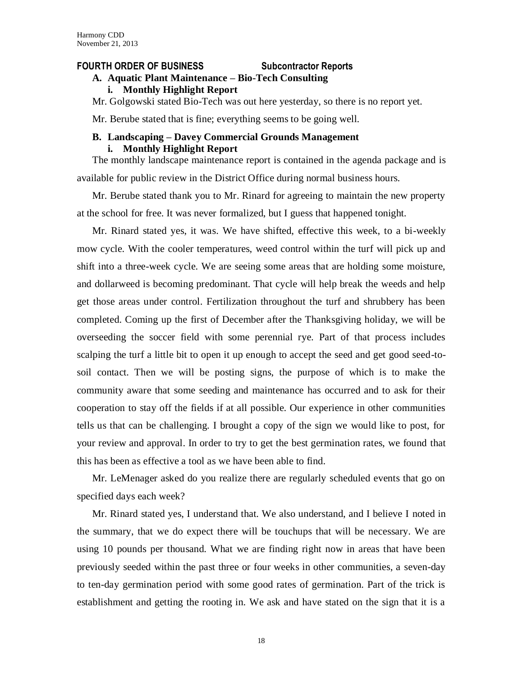#### **FOURTH ORDER OF BUSINESS Subcontractor Reports**

### **A. Aquatic Plant Maintenance – Bio-Tech Consulting**

#### **i. Monthly Highlight Report**

Mr. Golgowski stated Bio-Tech was out here yesterday, so there is no report yet.

Mr. Berube stated that is fine; everything seems to be going well.

# **B. Landscaping – Davey Commercial Grounds Management**

#### **i. Monthly Highlight Report**

The monthly landscape maintenance report is contained in the agenda package and is available for public review in the District Office during normal business hours.

Mr. Berube stated thank you to Mr. Rinard for agreeing to maintain the new property at the school for free. It was never formalized, but I guess that happened tonight.

Mr. Rinard stated yes, it was. We have shifted, effective this week, to a bi-weekly mow cycle. With the cooler temperatures, weed control within the turf will pick up and shift into a three-week cycle. We are seeing some areas that are holding some moisture, and dollarweed is becoming predominant. That cycle will help break the weeds and help get those areas under control. Fertilization throughout the turf and shrubbery has been completed. Coming up the first of December after the Thanksgiving holiday, we will be overseeding the soccer field with some perennial rye. Part of that process includes scalping the turf a little bit to open it up enough to accept the seed and get good seed-tosoil contact. Then we will be posting signs, the purpose of which is to make the community aware that some seeding and maintenance has occurred and to ask for their cooperation to stay off the fields if at all possible. Our experience in other communities tells us that can be challenging. I brought a copy of the sign we would like to post, for your review and approval. In order to try to get the best germination rates, we found that this has been as effective a tool as we have been able to find.

Mr. LeMenager asked do you realize there are regularly scheduled events that go on specified days each week?

Mr. Rinard stated yes, I understand that. We also understand, and I believe I noted in the summary, that we do expect there will be touchups that will be necessary. We are using 10 pounds per thousand. What we are finding right now in areas that have been previously seeded within the past three or four weeks in other communities, a seven-day to ten-day germination period with some good rates of germination. Part of the trick is establishment and getting the rooting in. We ask and have stated on the sign that it is a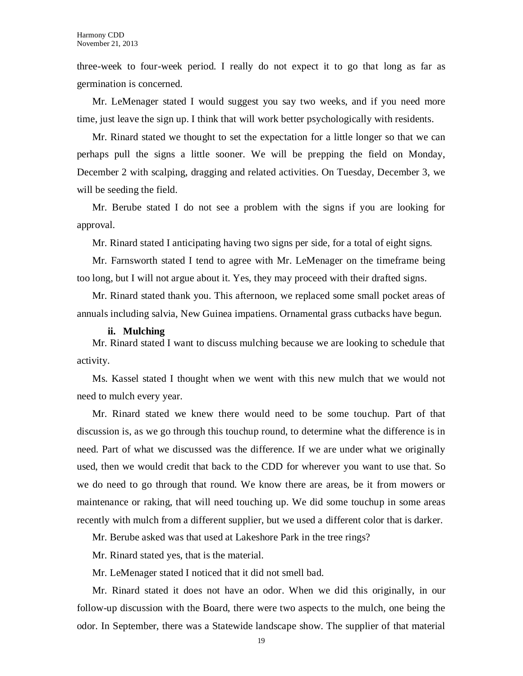three-week to four-week period. I really do not expect it to go that long as far as germination is concerned.

Mr. LeMenager stated I would suggest you say two weeks, and if you need more time, just leave the sign up. I think that will work better psychologically with residents.

Mr. Rinard stated we thought to set the expectation for a little longer so that we can perhaps pull the signs a little sooner. We will be prepping the field on Monday, December 2 with scalping, dragging and related activities. On Tuesday, December 3, we will be seeding the field.

Mr. Berube stated I do not see a problem with the signs if you are looking for approval.

Mr. Rinard stated I anticipating having two signs per side, for a total of eight signs.

Mr. Farnsworth stated I tend to agree with Mr. LeMenager on the timeframe being too long, but I will not argue about it. Yes, they may proceed with their drafted signs.

Mr. Rinard stated thank you. This afternoon, we replaced some small pocket areas of annuals including salvia, New Guinea impatiens. Ornamental grass cutbacks have begun.

#### **ii. Mulching**

Mr. Rinard stated I want to discuss mulching because we are looking to schedule that activity.

Ms. Kassel stated I thought when we went with this new mulch that we would not need to mulch every year.

Mr. Rinard stated we knew there would need to be some touchup. Part of that discussion is, as we go through this touchup round, to determine what the difference is in need. Part of what we discussed was the difference. If we are under what we originally used, then we would credit that back to the CDD for wherever you want to use that. So we do need to go through that round. We know there are areas, be it from mowers or maintenance or raking, that will need touching up. We did some touchup in some areas recently with mulch from a different supplier, but we used a different color that is darker.

Mr. Berube asked was that used at Lakeshore Park in the tree rings?

Mr. Rinard stated yes, that is the material.

Mr. LeMenager stated I noticed that it did not smell bad.

Mr. Rinard stated it does not have an odor. When we did this originally, in our follow-up discussion with the Board, there were two aspects to the mulch, one being the odor. In September, there was a Statewide landscape show. The supplier of that material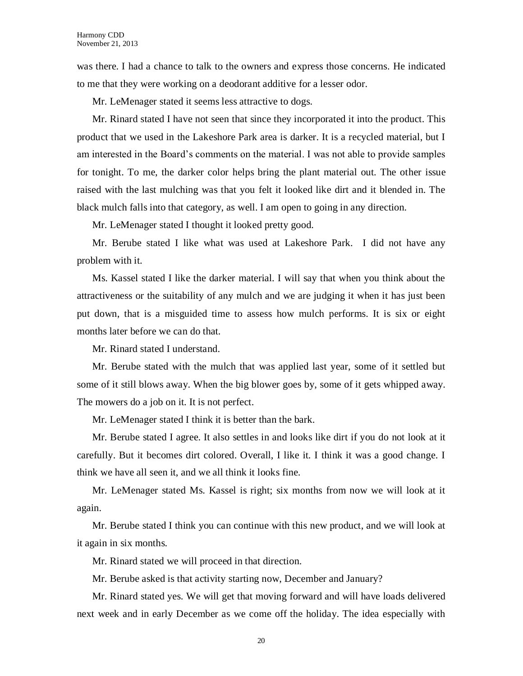was there. I had a chance to talk to the owners and express those concerns. He indicated to me that they were working on a deodorant additive for a lesser odor.

Mr. LeMenager stated it seems less attractive to dogs.

Mr. Rinard stated I have not seen that since they incorporated it into the product. This product that we used in the Lakeshore Park area is darker. It is a recycled material, but I am interested in the Board's comments on the material. I was not able to provide samples for tonight. To me, the darker color helps bring the plant material out. The other issue raised with the last mulching was that you felt it looked like dirt and it blended in. The black mulch falls into that category, as well. I am open to going in any direction.

Mr. LeMenager stated I thought it looked pretty good.

Mr. Berube stated I like what was used at Lakeshore Park. I did not have any problem with it.

Ms. Kassel stated I like the darker material. I will say that when you think about the attractiveness or the suitability of any mulch and we are judging it when it has just been put down, that is a misguided time to assess how mulch performs. It is six or eight months later before we can do that.

Mr. Rinard stated I understand.

Mr. Berube stated with the mulch that was applied last year, some of it settled but some of it still blows away. When the big blower goes by, some of it gets whipped away. The mowers do a job on it. It is not perfect.

Mr. LeMenager stated I think it is better than the bark.

Mr. Berube stated I agree. It also settles in and looks like dirt if you do not look at it carefully. But it becomes dirt colored. Overall, I like it. I think it was a good change. I think we have all seen it, and we all think it looks fine.

Mr. LeMenager stated Ms. Kassel is right; six months from now we will look at it again.

Mr. Berube stated I think you can continue with this new product, and we will look at it again in six months.

Mr. Rinard stated we will proceed in that direction.

Mr. Berube asked is that activity starting now, December and January?

Mr. Rinard stated yes. We will get that moving forward and will have loads delivered next week and in early December as we come off the holiday. The idea especially with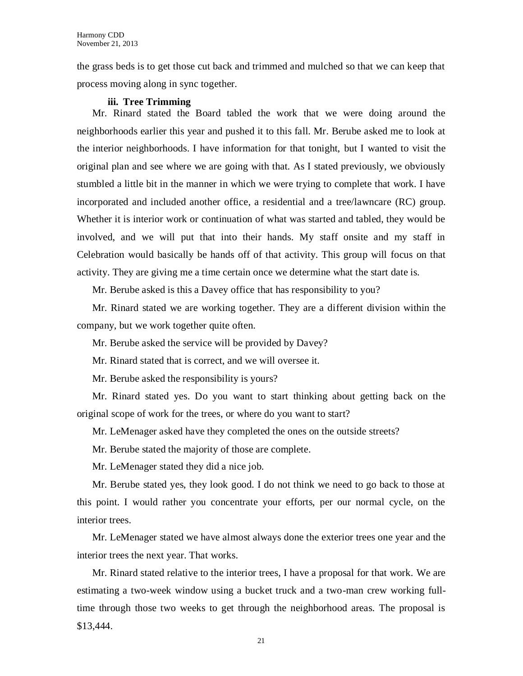the grass beds is to get those cut back and trimmed and mulched so that we can keep that process moving along in sync together.

#### **iii. Tree Trimming**

Mr. Rinard stated the Board tabled the work that we were doing around the neighborhoods earlier this year and pushed it to this fall. Mr. Berube asked me to look at the interior neighborhoods. I have information for that tonight, but I wanted to visit the original plan and see where we are going with that. As I stated previously, we obviously stumbled a little bit in the manner in which we were trying to complete that work. I have incorporated and included another office, a residential and a tree/lawncare (RC) group. Whether it is interior work or continuation of what was started and tabled, they would be involved, and we will put that into their hands. My staff onsite and my staff in Celebration would basically be hands off of that activity. This group will focus on that activity. They are giving me a time certain once we determine what the start date is.

Mr. Berube asked is this a Davey office that has responsibility to you?

Mr. Rinard stated we are working together. They are a different division within the company, but we work together quite often.

Mr. Berube asked the service will be provided by Davey?

Mr. Rinard stated that is correct, and we will oversee it.

Mr. Berube asked the responsibility is yours?

Mr. Rinard stated yes. Do you want to start thinking about getting back on the original scope of work for the trees, or where do you want to start?

Mr. LeMenager asked have they completed the ones on the outside streets?

Mr. Berube stated the majority of those are complete.

Mr. LeMenager stated they did a nice job.

Mr. Berube stated yes, they look good. I do not think we need to go back to those at this point. I would rather you concentrate your efforts, per our normal cycle, on the interior trees.

Mr. LeMenager stated we have almost always done the exterior trees one year and the interior trees the next year. That works.

Mr. Rinard stated relative to the interior trees, I have a proposal for that work. We are estimating a two-week window using a bucket truck and a two-man crew working fulltime through those two weeks to get through the neighborhood areas. The proposal is \$13,444.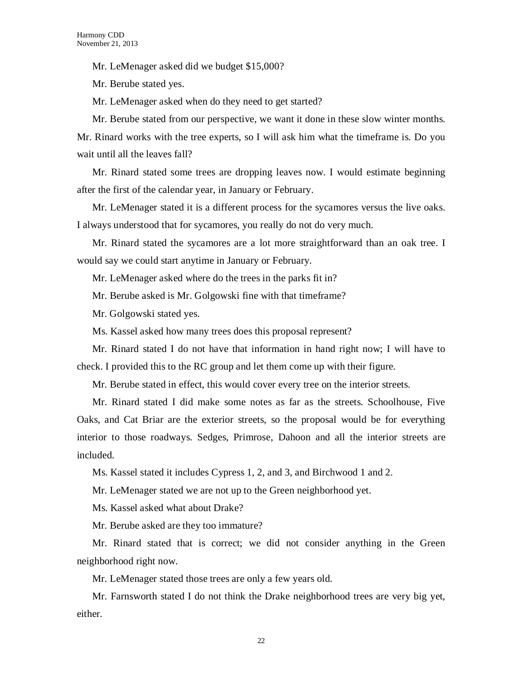Mr. LeMenager asked did we budget \$15,000?

Mr. Berube stated yes.

Mr. LeMenager asked when do they need to get started?

Mr. Berube stated from our perspective, we want it done in these slow winter months. Mr. Rinard works with the tree experts, so I will ask him what the timeframe is. Do you wait until all the leaves fall?

Mr. Rinard stated some trees are dropping leaves now. I would estimate beginning after the first of the calendar year, in January or February.

Mr. LeMenager stated it is a different process for the sycamores versus the live oaks. I always understood that for sycamores, you really do not do very much.

Mr. Rinard stated the sycamores are a lot more straightforward than an oak tree. I would say we could start anytime in January or February.

Mr. LeMenager asked where do the trees in the parks fit in?

Mr. Berube asked is Mr. Golgowski fine with that timeframe?

Mr. Golgowski stated yes.

Ms. Kassel asked how many trees does this proposal represent?

Mr. Rinard stated I do not have that information in hand right now; I will have to check. I provided this to the RC group and let them come up with their figure.

Mr. Berube stated in effect, this would cover every tree on the interior streets.

Mr. Rinard stated I did make some notes as far as the streets. Schoolhouse, Five Oaks, and Cat Briar are the exterior streets, so the proposal would be for everything interior to those roadways. Sedges, Primrose, Dahoon and all the interior streets are included.

Ms. Kassel stated it includes Cypress 1, 2, and 3, and Birchwood 1 and 2.

Mr. LeMenager stated we are not up to the Green neighborhood yet.

Ms. Kassel asked what about Drake?

Mr. Berube asked are they too immature?

Mr. Rinard stated that is correct; we did not consider anything in the Green neighborhood right now.

Mr. LeMenager stated those trees are only a few years old.

Mr. Farnsworth stated I do not think the Drake neighborhood trees are very big yet, either.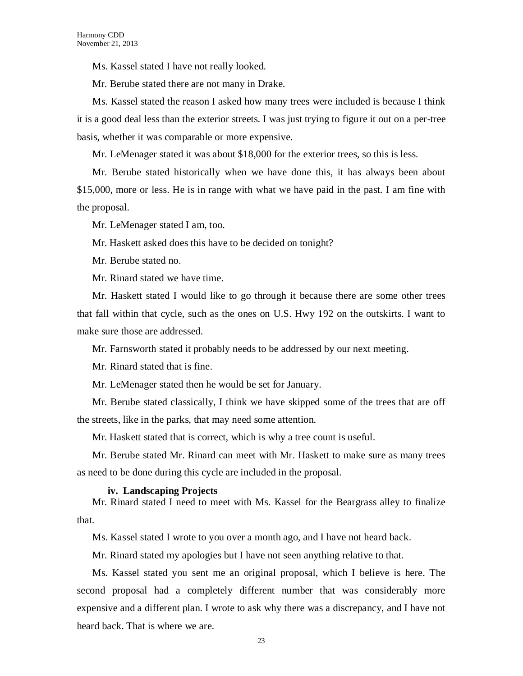Ms. Kassel stated I have not really looked.

Mr. Berube stated there are not many in Drake.

Ms. Kassel stated the reason I asked how many trees were included is because I think it is a good deal less than the exterior streets. I was just trying to figure it out on a per-tree basis, whether it was comparable or more expensive.

Mr. LeMenager stated it was about \$18,000 for the exterior trees, so this is less.

Mr. Berube stated historically when we have done this, it has always been about \$15,000, more or less. He is in range with what we have paid in the past. I am fine with the proposal.

Mr. LeMenager stated I am, too.

Mr. Haskett asked does this have to be decided on tonight?

Mr. Berube stated no.

Mr. Rinard stated we have time.

Mr. Haskett stated I would like to go through it because there are some other trees that fall within that cycle, such as the ones on U.S. Hwy 192 on the outskirts. I want to make sure those are addressed.

Mr. Farnsworth stated it probably needs to be addressed by our next meeting.

Mr. Rinard stated that is fine.

Mr. LeMenager stated then he would be set for January.

Mr. Berube stated classically, I think we have skipped some of the trees that are off the streets, like in the parks, that may need some attention.

Mr. Haskett stated that is correct, which is why a tree count is useful.

Mr. Berube stated Mr. Rinard can meet with Mr. Haskett to make sure as many trees as need to be done during this cycle are included in the proposal.

#### **iv. Landscaping Projects**

Mr. Rinard stated I need to meet with Ms. Kassel for the Beargrass alley to finalize that.

Ms. Kassel stated I wrote to you over a month ago, and I have not heard back.

Mr. Rinard stated my apologies but I have not seen anything relative to that.

Ms. Kassel stated you sent me an original proposal, which I believe is here. The second proposal had a completely different number that was considerably more expensive and a different plan. I wrote to ask why there was a discrepancy, and I have not heard back. That is where we are.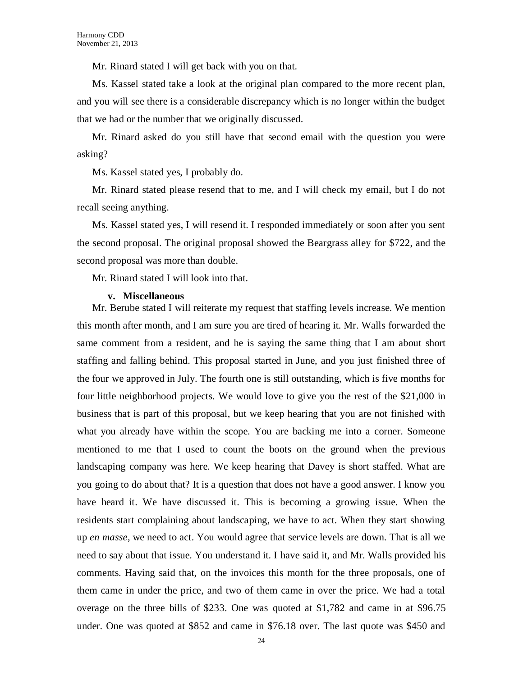Mr. Rinard stated I will get back with you on that.

Ms. Kassel stated take a look at the original plan compared to the more recent plan, and you will see there is a considerable discrepancy which is no longer within the budget that we had or the number that we originally discussed.

Mr. Rinard asked do you still have that second email with the question you were asking?

Ms. Kassel stated yes, I probably do.

Mr. Rinard stated please resend that to me, and I will check my email, but I do not recall seeing anything.

Ms. Kassel stated yes, I will resend it. I responded immediately or soon after you sent the second proposal. The original proposal showed the Beargrass alley for \$722, and the second proposal was more than double.

Mr. Rinard stated I will look into that.

#### **v. Miscellaneous**

Mr. Berube stated I will reiterate my request that staffing levels increase. We mention this month after month, and I am sure you are tired of hearing it. Mr. Walls forwarded the same comment from a resident, and he is saying the same thing that I am about short staffing and falling behind. This proposal started in June, and you just finished three of the four we approved in July. The fourth one is still outstanding, which is five months for four little neighborhood projects. We would love to give you the rest of the \$21,000 in business that is part of this proposal, but we keep hearing that you are not finished with what you already have within the scope. You are backing me into a corner. Someone mentioned to me that I used to count the boots on the ground when the previous landscaping company was here. We keep hearing that Davey is short staffed. What are you going to do about that? It is a question that does not have a good answer. I know you have heard it. We have discussed it. This is becoming a growing issue. When the residents start complaining about landscaping, we have to act. When they start showing up *en masse*, we need to act. You would agree that service levels are down. That is all we need to say about that issue. You understand it. I have said it, and Mr. Walls provided his comments. Having said that, on the invoices this month for the three proposals, one of them came in under the price, and two of them came in over the price. We had a total overage on the three bills of \$233. One was quoted at \$1,782 and came in at \$96.75 under. One was quoted at \$852 and came in \$76.18 over. The last quote was \$450 and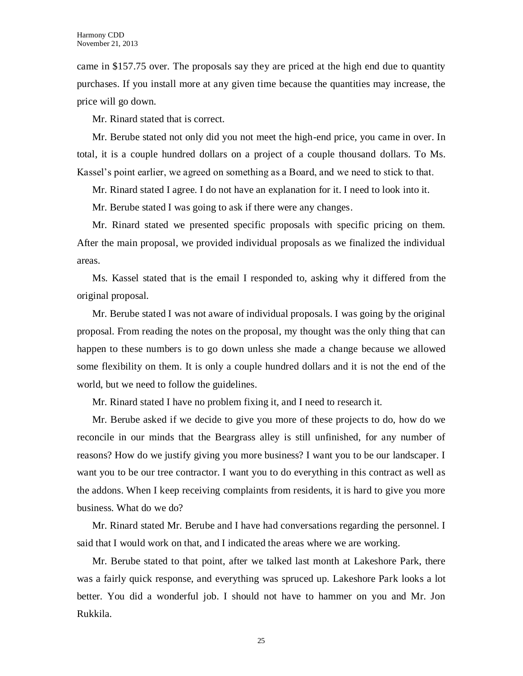came in \$157.75 over. The proposals say they are priced at the high end due to quantity purchases. If you install more at any given time because the quantities may increase, the price will go down.

Mr. Rinard stated that is correct.

Mr. Berube stated not only did you not meet the high-end price, you came in over. In total, it is a couple hundred dollars on a project of a couple thousand dollars. To Ms. Kassel's point earlier, we agreed on something as a Board, and we need to stick to that.

Mr. Rinard stated I agree. I do not have an explanation for it. I need to look into it.

Mr. Berube stated I was going to ask if there were any changes.

Mr. Rinard stated we presented specific proposals with specific pricing on them. After the main proposal, we provided individual proposals as we finalized the individual areas.

Ms. Kassel stated that is the email I responded to, asking why it differed from the original proposal.

Mr. Berube stated I was not aware of individual proposals. I was going by the original proposal. From reading the notes on the proposal, my thought was the only thing that can happen to these numbers is to go down unless she made a change because we allowed some flexibility on them. It is only a couple hundred dollars and it is not the end of the world, but we need to follow the guidelines.

Mr. Rinard stated I have no problem fixing it, and I need to research it.

Mr. Berube asked if we decide to give you more of these projects to do, how do we reconcile in our minds that the Beargrass alley is still unfinished, for any number of reasons? How do we justify giving you more business? I want you to be our landscaper. I want you to be our tree contractor. I want you to do everything in this contract as well as the addons. When I keep receiving complaints from residents, it is hard to give you more business. What do we do?

Mr. Rinard stated Mr. Berube and I have had conversations regarding the personnel. I said that I would work on that, and I indicated the areas where we are working.

Mr. Berube stated to that point, after we talked last month at Lakeshore Park, there was a fairly quick response, and everything was spruced up. Lakeshore Park looks a lot better. You did a wonderful job. I should not have to hammer on you and Mr. Jon Rukkila.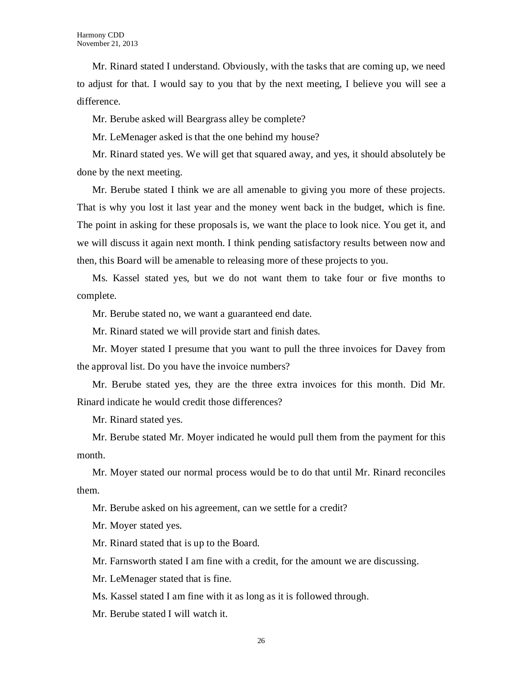Mr. Rinard stated I understand. Obviously, with the tasks that are coming up, we need to adjust for that. I would say to you that by the next meeting, I believe you will see a difference.

Mr. Berube asked will Beargrass alley be complete?

Mr. LeMenager asked is that the one behind my house?

Mr. Rinard stated yes. We will get that squared away, and yes, it should absolutely be done by the next meeting.

Mr. Berube stated I think we are all amenable to giving you more of these projects. That is why you lost it last year and the money went back in the budget, which is fine. The point in asking for these proposals is, we want the place to look nice. You get it, and we will discuss it again next month. I think pending satisfactory results between now and then, this Board will be amenable to releasing more of these projects to you.

Ms. Kassel stated yes, but we do not want them to take four or five months to complete.

Mr. Berube stated no, we want a guaranteed end date.

Mr. Rinard stated we will provide start and finish dates.

Mr. Moyer stated I presume that you want to pull the three invoices for Davey from the approval list. Do you have the invoice numbers?

Mr. Berube stated yes, they are the three extra invoices for this month. Did Mr. Rinard indicate he would credit those differences?

Mr. Rinard stated yes.

Mr. Berube stated Mr. Moyer indicated he would pull them from the payment for this month.

Mr. Moyer stated our normal process would be to do that until Mr. Rinard reconciles them.

Mr. Berube asked on his agreement, can we settle for a credit?

Mr. Moyer stated yes.

Mr. Rinard stated that is up to the Board.

Mr. Farnsworth stated I am fine with a credit, for the amount we are discussing.

Mr. LeMenager stated that is fine.

Ms. Kassel stated I am fine with it as long as it is followed through.

Mr. Berube stated I will watch it.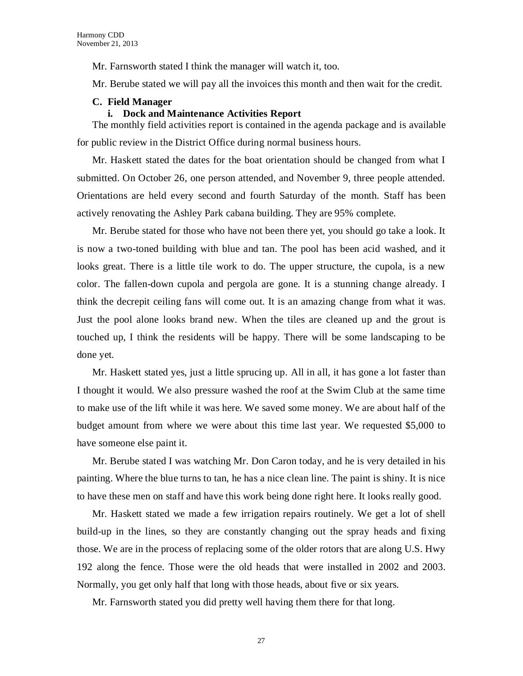Mr. Farnsworth stated I think the manager will watch it, too.

Mr. Berube stated we will pay all the invoices this month and then wait for the credit.

#### **C. Field Manager**

#### **i. Dock and Maintenance Activities Report**

The monthly field activities report is contained in the agenda package and is available for public review in the District Office during normal business hours.

Mr. Haskett stated the dates for the boat orientation should be changed from what I submitted. On October 26, one person attended, and November 9, three people attended. Orientations are held every second and fourth Saturday of the month. Staff has been actively renovating the Ashley Park cabana building. They are 95% complete.

Mr. Berube stated for those who have not been there yet, you should go take a look. It is now a two-toned building with blue and tan. The pool has been acid washed, and it looks great. There is a little tile work to do. The upper structure, the cupola, is a new color. The fallen-down cupola and pergola are gone. It is a stunning change already. I think the decrepit ceiling fans will come out. It is an amazing change from what it was. Just the pool alone looks brand new. When the tiles are cleaned up and the grout is touched up, I think the residents will be happy. There will be some landscaping to be done yet.

Mr. Haskett stated yes, just a little sprucing up. All in all, it has gone a lot faster than I thought it would. We also pressure washed the roof at the Swim Club at the same time to make use of the lift while it was here. We saved some money. We are about half of the budget amount from where we were about this time last year. We requested \$5,000 to have someone else paint it.

Mr. Berube stated I was watching Mr. Don Caron today, and he is very detailed in his painting. Where the blue turns to tan, he has a nice clean line. The paint is shiny. It is nice to have these men on staff and have this work being done right here. It looks really good.

Mr. Haskett stated we made a few irrigation repairs routinely. We get a lot of shell build-up in the lines, so they are constantly changing out the spray heads and fixing those. We are in the process of replacing some of the older rotors that are along U.S. Hwy 192 along the fence. Those were the old heads that were installed in 2002 and 2003. Normally, you get only half that long with those heads, about five or six years.

Mr. Farnsworth stated you did pretty well having them there for that long.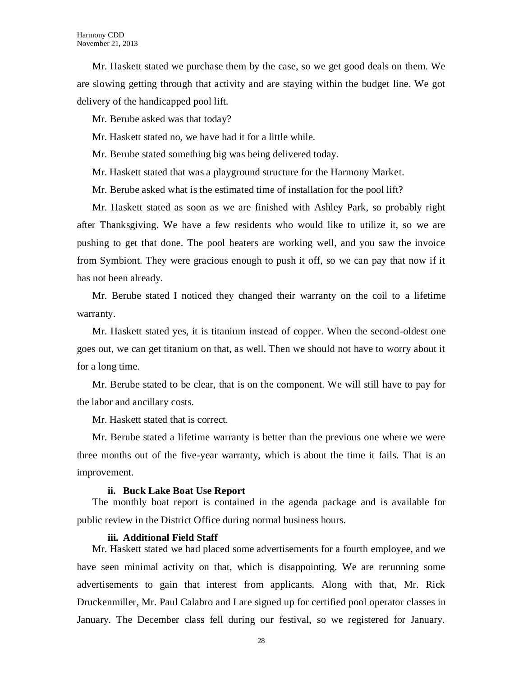Mr. Haskett stated we purchase them by the case, so we get good deals on them. We are slowing getting through that activity and are staying within the budget line. We got delivery of the handicapped pool lift.

Mr. Berube asked was that today?

Mr. Haskett stated no, we have had it for a little while.

Mr. Berube stated something big was being delivered today.

Mr. Haskett stated that was a playground structure for the Harmony Market.

Mr. Berube asked what is the estimated time of installation for the pool lift?

Mr. Haskett stated as soon as we are finished with Ashley Park, so probably right after Thanksgiving. We have a few residents who would like to utilize it, so we are pushing to get that done. The pool heaters are working well, and you saw the invoice from Symbiont. They were gracious enough to push it off, so we can pay that now if it has not been already.

Mr. Berube stated I noticed they changed their warranty on the coil to a lifetime warranty.

Mr. Haskett stated yes, it is titanium instead of copper. When the second-oldest one goes out, we can get titanium on that, as well. Then we should not have to worry about it for a long time.

Mr. Berube stated to be clear, that is on the component. We will still have to pay for the labor and ancillary costs.

Mr. Haskett stated that is correct.

Mr. Berube stated a lifetime warranty is better than the previous one where we were three months out of the five-year warranty, which is about the time it fails. That is an improvement.

#### **ii. Buck Lake Boat Use Report**

The monthly boat report is contained in the agenda package and is available for public review in the District Office during normal business hours.

#### **iii. Additional Field Staff**

Mr. Haskett stated we had placed some advertisements for a fourth employee, and we have seen minimal activity on that, which is disappointing. We are rerunning some advertisements to gain that interest from applicants. Along with that, Mr. Rick Druckenmiller, Mr. Paul Calabro and I are signed up for certified pool operator classes in January. The December class fell during our festival, so we registered for January.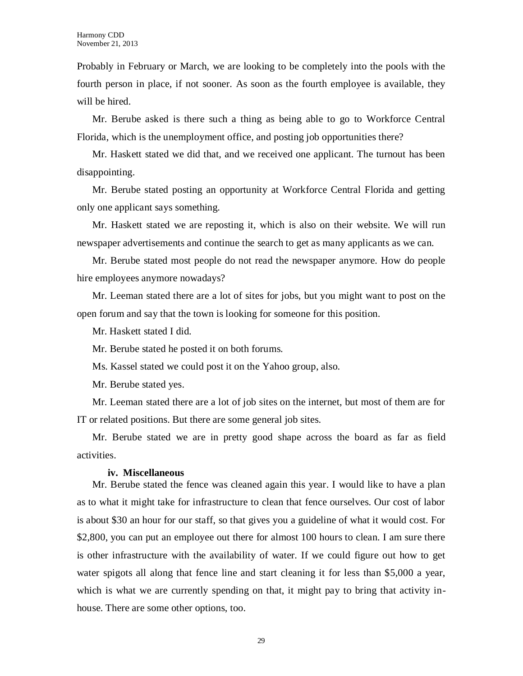Probably in February or March, we are looking to be completely into the pools with the fourth person in place, if not sooner. As soon as the fourth employee is available, they will be hired.

Mr. Berube asked is there such a thing as being able to go to Workforce Central Florida, which is the unemployment office, and posting job opportunities there?

Mr. Haskett stated we did that, and we received one applicant. The turnout has been disappointing.

Mr. Berube stated posting an opportunity at Workforce Central Florida and getting only one applicant says something.

Mr. Haskett stated we are reposting it, which is also on their website. We will run newspaper advertisements and continue the search to get as many applicants as we can.

Mr. Berube stated most people do not read the newspaper anymore. How do people hire employees anymore nowadays?

Mr. Leeman stated there are a lot of sites for jobs, but you might want to post on the open forum and say that the town is looking for someone for this position.

Mr. Haskett stated I did.

Mr. Berube stated he posted it on both forums.

Ms. Kassel stated we could post it on the Yahoo group, also.

Mr. Berube stated yes.

Mr. Leeman stated there are a lot of job sites on the internet, but most of them are for IT or related positions. But there are some general job sites.

Mr. Berube stated we are in pretty good shape across the board as far as field activities.

#### **iv. Miscellaneous**

Mr. Berube stated the fence was cleaned again this year. I would like to have a plan as to what it might take for infrastructure to clean that fence ourselves. Our cost of labor is about \$30 an hour for our staff, so that gives you a guideline of what it would cost. For \$2,800, you can put an employee out there for almost 100 hours to clean. I am sure there is other infrastructure with the availability of water. If we could figure out how to get water spigots all along that fence line and start cleaning it for less than \$5,000 a year, which is what we are currently spending on that, it might pay to bring that activity inhouse. There are some other options, too.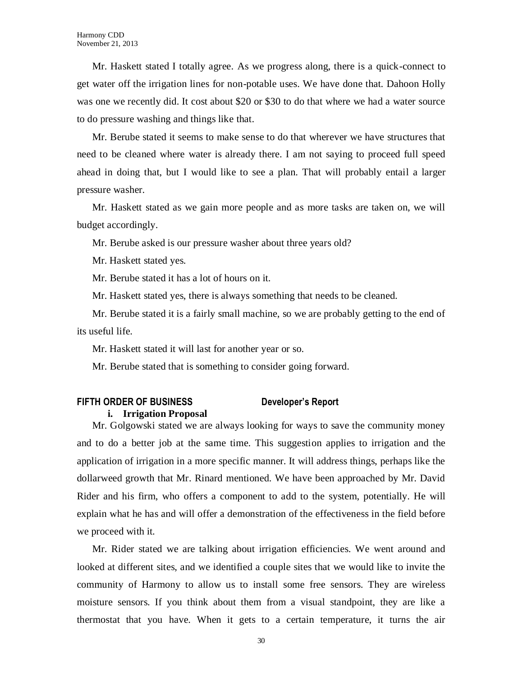Mr. Haskett stated I totally agree. As we progress along, there is a quick-connect to get water off the irrigation lines for non-potable uses. We have done that. Dahoon Holly was one we recently did. It cost about \$20 or \$30 to do that where we had a water source to do pressure washing and things like that.

Mr. Berube stated it seems to make sense to do that wherever we have structures that need to be cleaned where water is already there. I am not saying to proceed full speed ahead in doing that, but I would like to see a plan. That will probably entail a larger pressure washer.

Mr. Haskett stated as we gain more people and as more tasks are taken on, we will budget accordingly.

Mr. Berube asked is our pressure washer about three years old?

Mr. Haskett stated yes.

Mr. Berube stated it has a lot of hours on it.

Mr. Haskett stated yes, there is always something that needs to be cleaned.

Mr. Berube stated it is a fairly small machine, so we are probably getting to the end of its useful life.

Mr. Haskett stated it will last for another year or so.

Mr. Berube stated that is something to consider going forward.

### **FIFTH ORDER OF BUSINESS Developer's Report**

#### **i. Irrigation Proposal**

Mr. Golgowski stated we are always looking for ways to save the community money and to do a better job at the same time. This suggestion applies to irrigation and the application of irrigation in a more specific manner. It will address things, perhaps like the dollarweed growth that Mr. Rinard mentioned. We have been approached by Mr. David Rider and his firm, who offers a component to add to the system, potentially. He will explain what he has and will offer a demonstration of the effectiveness in the field before we proceed with it.

Mr. Rider stated we are talking about irrigation efficiencies. We went around and looked at different sites, and we identified a couple sites that we would like to invite the community of Harmony to allow us to install some free sensors. They are wireless moisture sensors. If you think about them from a visual standpoint, they are like a thermostat that you have. When it gets to a certain temperature, it turns the air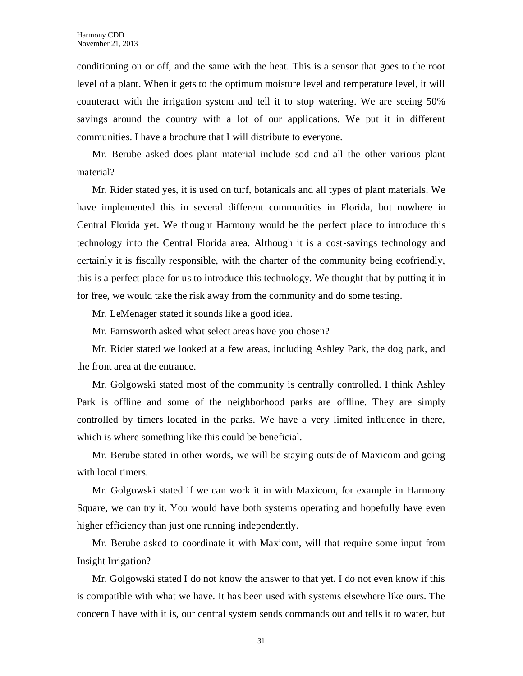conditioning on or off, and the same with the heat. This is a sensor that goes to the root level of a plant. When it gets to the optimum moisture level and temperature level, it will counteract with the irrigation system and tell it to stop watering. We are seeing 50% savings around the country with a lot of our applications. We put it in different communities. I have a brochure that I will distribute to everyone.

Mr. Berube asked does plant material include sod and all the other various plant material?

Mr. Rider stated yes, it is used on turf, botanicals and all types of plant materials. We have implemented this in several different communities in Florida, but nowhere in Central Florida yet. We thought Harmony would be the perfect place to introduce this technology into the Central Florida area. Although it is a cost-savings technology and certainly it is fiscally responsible, with the charter of the community being ecofriendly, this is a perfect place for us to introduce this technology. We thought that by putting it in for free, we would take the risk away from the community and do some testing.

Mr. LeMenager stated it sounds like a good idea.

Mr. Farnsworth asked what select areas have you chosen?

Mr. Rider stated we looked at a few areas, including Ashley Park, the dog park, and the front area at the entrance.

Mr. Golgowski stated most of the community is centrally controlled. I think Ashley Park is offline and some of the neighborhood parks are offline. They are simply controlled by timers located in the parks. We have a very limited influence in there, which is where something like this could be beneficial.

Mr. Berube stated in other words, we will be staying outside of Maxicom and going with local timers.

Mr. Golgowski stated if we can work it in with Maxicom, for example in Harmony Square, we can try it. You would have both systems operating and hopefully have even higher efficiency than just one running independently.

Mr. Berube asked to coordinate it with Maxicom, will that require some input from Insight Irrigation?

Mr. Golgowski stated I do not know the answer to that yet. I do not even know if this is compatible with what we have. It has been used with systems elsewhere like ours. The concern I have with it is, our central system sends commands out and tells it to water, but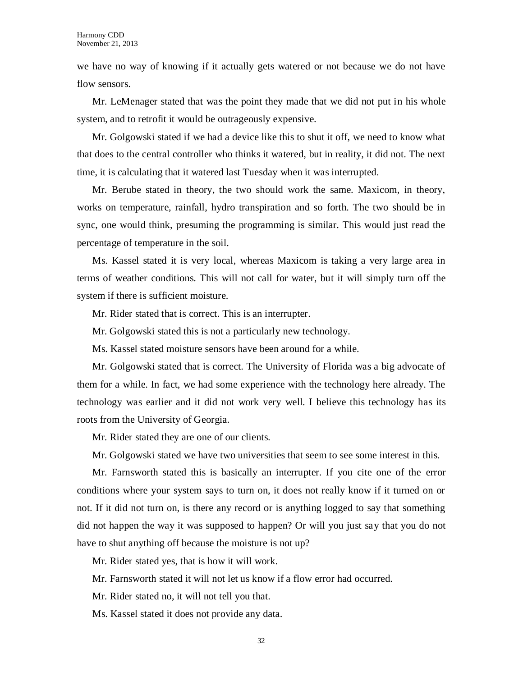we have no way of knowing if it actually gets watered or not because we do not have flow sensors.

Mr. LeMenager stated that was the point they made that we did not put in his whole system, and to retrofit it would be outrageously expensive.

Mr. Golgowski stated if we had a device like this to shut it off, we need to know what that does to the central controller who thinks it watered, but in reality, it did not. The next time, it is calculating that it watered last Tuesday when it was interrupted.

Mr. Berube stated in theory, the two should work the same. Maxicom, in theory, works on temperature, rainfall, hydro transpiration and so forth. The two should be in sync, one would think, presuming the programming is similar. This would just read the percentage of temperature in the soil.

Ms. Kassel stated it is very local, whereas Maxicom is taking a very large area in terms of weather conditions. This will not call for water, but it will simply turn off the system if there is sufficient moisture.

Mr. Rider stated that is correct. This is an interrupter.

Mr. Golgowski stated this is not a particularly new technology.

Ms. Kassel stated moisture sensors have been around for a while.

Mr. Golgowski stated that is correct. The University of Florida was a big advocate of them for a while. In fact, we had some experience with the technology here already. The technology was earlier and it did not work very well. I believe this technology has its roots from the University of Georgia.

Mr. Rider stated they are one of our clients.

Mr. Golgowski stated we have two universities that seem to see some interest in this.

Mr. Farnsworth stated this is basically an interrupter. If you cite one of the error conditions where your system says to turn on, it does not really know if it turned on or not. If it did not turn on, is there any record or is anything logged to say that something did not happen the way it was supposed to happen? Or will you just say that you do not have to shut anything off because the moisture is not up?

Mr. Rider stated yes, that is how it will work.

Mr. Farnsworth stated it will not let us know if a flow error had occurred.

Mr. Rider stated no, it will not tell you that.

Ms. Kassel stated it does not provide any data.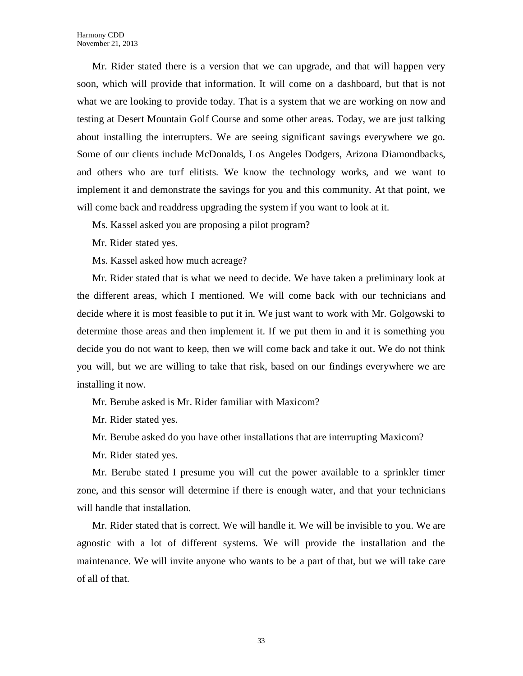Mr. Rider stated there is a version that we can upgrade, and that will happen very soon, which will provide that information. It will come on a dashboard, but that is not what we are looking to provide today. That is a system that we are working on now and testing at Desert Mountain Golf Course and some other areas. Today, we are just talking about installing the interrupters. We are seeing significant savings everywhere we go. Some of our clients include McDonalds, Los Angeles Dodgers, Arizona Diamondbacks, and others who are turf elitists. We know the technology works, and we want to implement it and demonstrate the savings for you and this community. At that point, we will come back and readdress upgrading the system if you want to look at it.

Ms. Kassel asked you are proposing a pilot program?

Mr. Rider stated yes.

Ms. Kassel asked how much acreage?

Mr. Rider stated that is what we need to decide. We have taken a preliminary look at the different areas, which I mentioned. We will come back with our technicians and decide where it is most feasible to put it in. We just want to work with Mr. Golgowski to determine those areas and then implement it. If we put them in and it is something you decide you do not want to keep, then we will come back and take it out. We do not think you will, but we are willing to take that risk, based on our findings everywhere we are installing it now.

Mr. Berube asked is Mr. Rider familiar with Maxicom?

Mr. Rider stated yes.

Mr. Berube asked do you have other installations that are interrupting Maxicom?

Mr. Rider stated yes.

Mr. Berube stated I presume you will cut the power available to a sprinkler timer zone, and this sensor will determine if there is enough water, and that your technicians will handle that installation.

Mr. Rider stated that is correct. We will handle it. We will be invisible to you. We are agnostic with a lot of different systems. We will provide the installation and the maintenance. We will invite anyone who wants to be a part of that, but we will take care of all of that.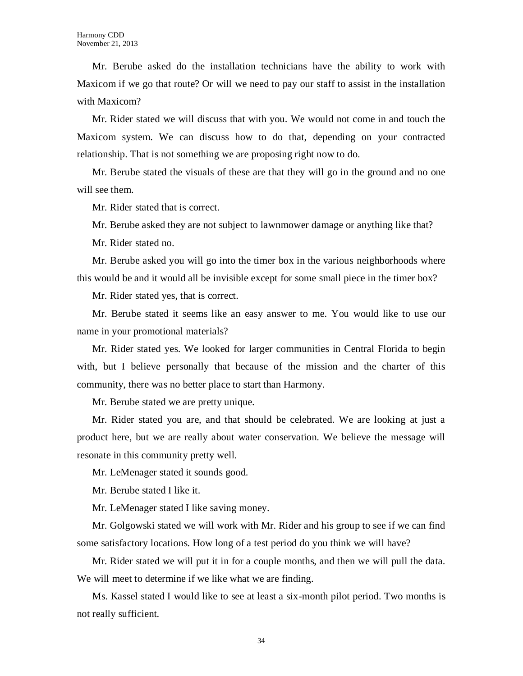Mr. Berube asked do the installation technicians have the ability to work with Maxicom if we go that route? Or will we need to pay our staff to assist in the installation with Maxicom?

Mr. Rider stated we will discuss that with you. We would not come in and touch the Maxicom system. We can discuss how to do that, depending on your contracted relationship. That is not something we are proposing right now to do.

Mr. Berube stated the visuals of these are that they will go in the ground and no one will see them.

Mr. Rider stated that is correct.

Mr. Berube asked they are not subject to lawnmower damage or anything like that?

Mr. Rider stated no.

Mr. Berube asked you will go into the timer box in the various neighborhoods where this would be and it would all be invisible except for some small piece in the timer box?

Mr. Rider stated yes, that is correct.

Mr. Berube stated it seems like an easy answer to me. You would like to use our name in your promotional materials?

Mr. Rider stated yes. We looked for larger communities in Central Florida to begin with, but I believe personally that because of the mission and the charter of this community, there was no better place to start than Harmony.

Mr. Berube stated we are pretty unique.

Mr. Rider stated you are, and that should be celebrated. We are looking at just a product here, but we are really about water conservation. We believe the message will resonate in this community pretty well.

Mr. LeMenager stated it sounds good.

Mr. Berube stated I like it.

Mr. LeMenager stated I like saving money.

Mr. Golgowski stated we will work with Mr. Rider and his group to see if we can find some satisfactory locations. How long of a test period do you think we will have?

Mr. Rider stated we will put it in for a couple months, and then we will pull the data. We will meet to determine if we like what we are finding.

Ms. Kassel stated I would like to see at least a six-month pilot period. Two months is not really sufficient.

34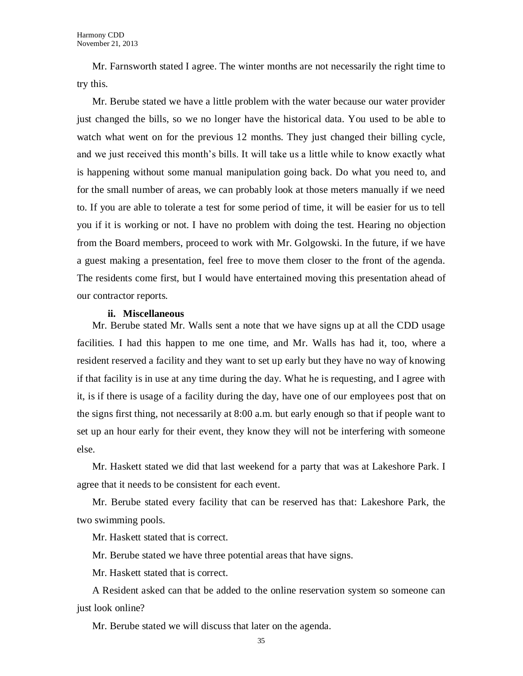Mr. Farnsworth stated I agree. The winter months are not necessarily the right time to try this.

Mr. Berube stated we have a little problem with the water because our water provider just changed the bills, so we no longer have the historical data. You used to be able to watch what went on for the previous 12 months. They just changed their billing cycle, and we just received this month's bills. It will take us a little while to know exactly what is happening without some manual manipulation going back. Do what you need to, and for the small number of areas, we can probably look at those meters manually if we need to. If you are able to tolerate a test for some period of time, it will be easier for us to tell you if it is working or not. I have no problem with doing the test. Hearing no objection from the Board members, proceed to work with Mr. Golgowski. In the future, if we have a guest making a presentation, feel free to move them closer to the front of the agenda. The residents come first, but I would have entertained moving this presentation ahead of our contractor reports.

#### **ii. Miscellaneous**

Mr. Berube stated Mr. Walls sent a note that we have signs up at all the CDD usage facilities. I had this happen to me one time, and Mr. Walls has had it, too, where a resident reserved a facility and they want to set up early but they have no way of knowing if that facility is in use at any time during the day. What he is requesting, and I agree with it, is if there is usage of a facility during the day, have one of our employees post that on the signs first thing, not necessarily at 8:00 a.m. but early enough so that if people want to set up an hour early for their event, they know they will not be interfering with someone else.

Mr. Haskett stated we did that last weekend for a party that was at Lakeshore Park. I agree that it needs to be consistent for each event.

Mr. Berube stated every facility that can be reserved has that: Lakeshore Park, the two swimming pools.

Mr. Haskett stated that is correct.

Mr. Berube stated we have three potential areas that have signs.

Mr. Haskett stated that is correct.

A Resident asked can that be added to the online reservation system so someone can just look online?

Mr. Berube stated we will discuss that later on the agenda.

35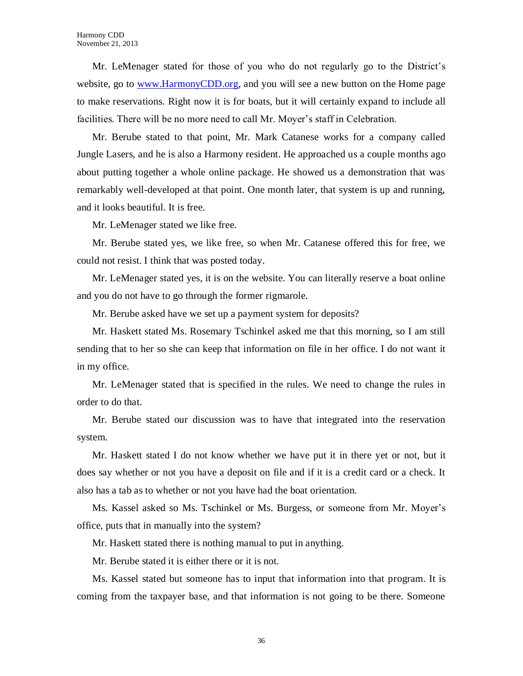Mr. LeMenager stated for those of you who do not regularly go to the District's website, go to [www.HarmonyCDD.org,](http://www.harmonycdd.org/) and you will see a new button on the Home page to make reservations. Right now it is for boats, but it will certainly expand to include all facilities. There will be no more need to call Mr. Moyer's staff in Celebration.

Mr. Berube stated to that point, Mr. Mark Catanese works for a company called Jungle Lasers, and he is also a Harmony resident. He approached us a couple months ago about putting together a whole online package. He showed us a demonstration that was remarkably well-developed at that point. One month later, that system is up and running, and it looks beautiful. It is free.

Mr. LeMenager stated we like free.

Mr. Berube stated yes, we like free, so when Mr. Catanese offered this for free, we could not resist. I think that was posted today.

Mr. LeMenager stated yes, it is on the website. You can literally reserve a boat online and you do not have to go through the former rigmarole.

Mr. Berube asked have we set up a payment system for deposits?

Mr. Haskett stated Ms. Rosemary Tschinkel asked me that this morning, so I am still sending that to her so she can keep that information on file in her office. I do not want it in my office.

Mr. LeMenager stated that is specified in the rules. We need to change the rules in order to do that.

Mr. Berube stated our discussion was to have that integrated into the reservation system.

Mr. Haskett stated I do not know whether we have put it in there yet or not, but it does say whether or not you have a deposit on file and if it is a credit card or a check. It also has a tab as to whether or not you have had the boat orientation.

Ms. Kassel asked so Ms. Tschinkel or Ms. Burgess, or someone from Mr. Moyer's office, puts that in manually into the system?

Mr. Haskett stated there is nothing manual to put in anything.

Mr. Berube stated it is either there or it is not.

Ms. Kassel stated but someone has to input that information into that program. It is coming from the taxpayer base, and that information is not going to be there. Someone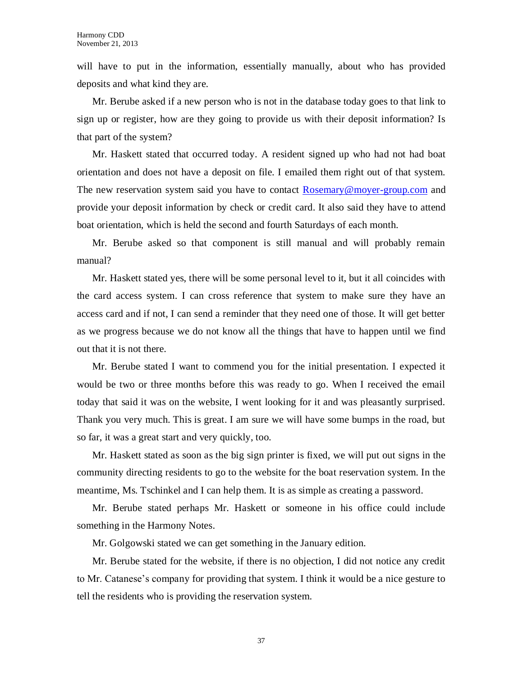will have to put in the information, essentially manually, about who has provided deposits and what kind they are.

Mr. Berube asked if a new person who is not in the database today goes to that link to sign up or register, how are they going to provide us with their deposit information? Is that part of the system?

Mr. Haskett stated that occurred today. A resident signed up who had not had boat orientation and does not have a deposit on file. I emailed them right out of that system. The new reservation system said you have to contact [Rosemary@moyer-group.com](mailto:Rosemary@moyer-group.com) and provide your deposit information by check or credit card. It also said they have to attend boat orientation, which is held the second and fourth Saturdays of each month.

Mr. Berube asked so that component is still manual and will probably remain manual?

Mr. Haskett stated yes, there will be some personal level to it, but it all coincides with the card access system. I can cross reference that system to make sure they have an access card and if not, I can send a reminder that they need one of those. It will get better as we progress because we do not know all the things that have to happen until we find out that it is not there.

Mr. Berube stated I want to commend you for the initial presentation. I expected it would be two or three months before this was ready to go. When I received the email today that said it was on the website, I went looking for it and was pleasantly surprised. Thank you very much. This is great. I am sure we will have some bumps in the road, but so far, it was a great start and very quickly, too.

Mr. Haskett stated as soon as the big sign printer is fixed, we will put out signs in the community directing residents to go to the website for the boat reservation system. In the meantime, Ms. Tschinkel and I can help them. It is as simple as creating a password.

Mr. Berube stated perhaps Mr. Haskett or someone in his office could include something in the Harmony Notes.

Mr. Golgowski stated we can get something in the January edition.

Mr. Berube stated for the website, if there is no objection, I did not notice any credit to Mr. Catanese's company for providing that system. I think it would be a nice gesture to tell the residents who is providing the reservation system.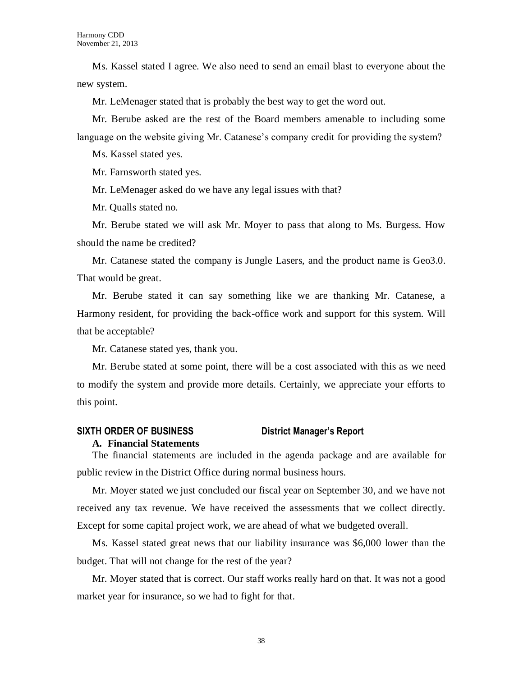Ms. Kassel stated I agree. We also need to send an email blast to everyone about the new system.

Mr. LeMenager stated that is probably the best way to get the word out.

Mr. Berube asked are the rest of the Board members amenable to including some language on the website giving Mr. Catanese's company credit for providing the system?

Ms. Kassel stated yes.

Mr. Farnsworth stated yes.

Mr. LeMenager asked do we have any legal issues with that?

Mr. Qualls stated no.

Mr. Berube stated we will ask Mr. Moyer to pass that along to Ms. Burgess. How should the name be credited?

Mr. Catanese stated the company is Jungle Lasers, and the product name is Geo3.0. That would be great.

Mr. Berube stated it can say something like we are thanking Mr. Catanese, a Harmony resident, for providing the back-office work and support for this system. Will that be acceptable?

Mr. Catanese stated yes, thank you.

Mr. Berube stated at some point, there will be a cost associated with this as we need to modify the system and provide more details. Certainly, we appreciate your efforts to this point.

#### **SIXTH ORDER OF BUSINESS District Manager's Report**

#### **A. Financial Statements**

The financial statements are included in the agenda package and are available for public review in the District Office during normal business hours.

Mr. Moyer stated we just concluded our fiscal year on September 30, and we have not received any tax revenue. We have received the assessments that we collect directly. Except for some capital project work, we are ahead of what we budgeted overall.

Ms. Kassel stated great news that our liability insurance was \$6,000 lower than the budget. That will not change for the rest of the year?

Mr. Moyer stated that is correct. Our staff works really hard on that. It was not a good market year for insurance, so we had to fight for that.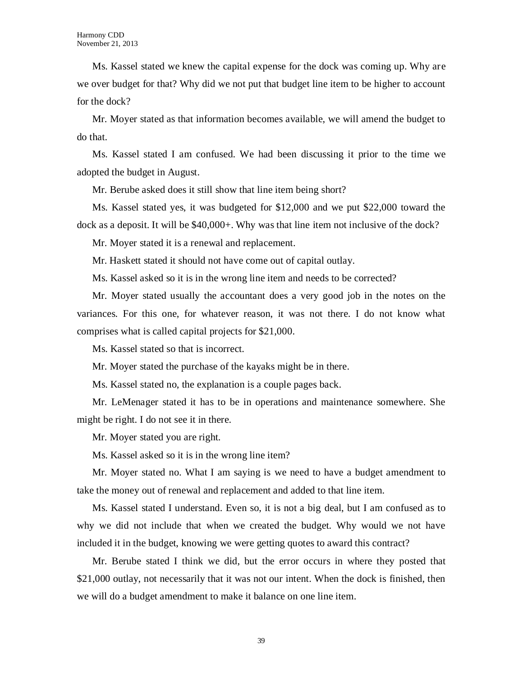Ms. Kassel stated we knew the capital expense for the dock was coming up. Why are we over budget for that? Why did we not put that budget line item to be higher to account for the dock?

Mr. Moyer stated as that information becomes available, we will amend the budget to do that.

Ms. Kassel stated I am confused. We had been discussing it prior to the time we adopted the budget in August.

Mr. Berube asked does it still show that line item being short?

Ms. Kassel stated yes, it was budgeted for \$12,000 and we put \$22,000 toward the dock as a deposit. It will be \$40,000+. Why was that line item not inclusive of the dock?

Mr. Moyer stated it is a renewal and replacement.

Mr. Haskett stated it should not have come out of capital outlay.

Ms. Kassel asked so it is in the wrong line item and needs to be corrected?

Mr. Moyer stated usually the accountant does a very good job in the notes on the variances. For this one, for whatever reason, it was not there. I do not know what comprises what is called capital projects for \$21,000.

Ms. Kassel stated so that is incorrect.

Mr. Moyer stated the purchase of the kayaks might be in there.

Ms. Kassel stated no, the explanation is a couple pages back.

Mr. LeMenager stated it has to be in operations and maintenance somewhere. She might be right. I do not see it in there.

Mr. Moyer stated you are right.

Ms. Kassel asked so it is in the wrong line item?

Mr. Moyer stated no. What I am saying is we need to have a budget amendment to take the money out of renewal and replacement and added to that line item.

Ms. Kassel stated I understand. Even so, it is not a big deal, but I am confused as to why we did not include that when we created the budget. Why would we not have included it in the budget, knowing we were getting quotes to award this contract?

Mr. Berube stated I think we did, but the error occurs in where they posted that \$21,000 outlay, not necessarily that it was not our intent. When the dock is finished, then we will do a budget amendment to make it balance on one line item.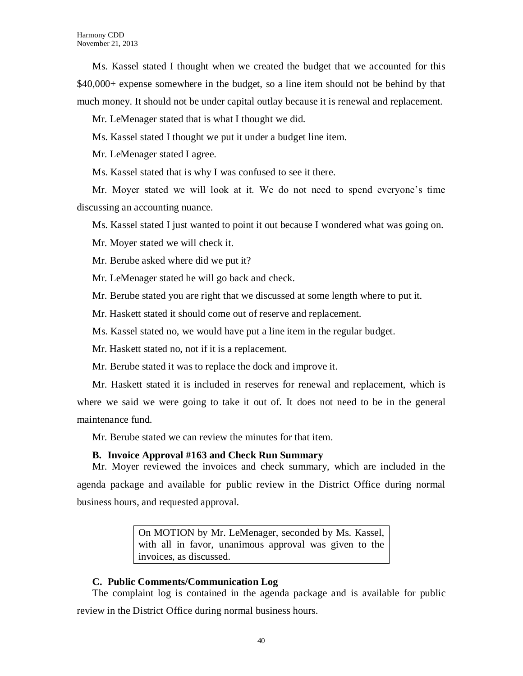Ms. Kassel stated I thought when we created the budget that we accounted for this \$40,000+ expense somewhere in the budget, so a line item should not be behind by that much money. It should not be under capital outlay because it is renewal and replacement.

Mr. LeMenager stated that is what I thought we did.

Ms. Kassel stated I thought we put it under a budget line item.

Mr. LeMenager stated I agree.

Ms. Kassel stated that is why I was confused to see it there.

Mr. Moyer stated we will look at it. We do not need to spend everyone's time discussing an accounting nuance.

Ms. Kassel stated I just wanted to point it out because I wondered what was going on.

Mr. Moyer stated we will check it.

Mr. Berube asked where did we put it?

Mr. LeMenager stated he will go back and check.

Mr. Berube stated you are right that we discussed at some length where to put it.

Mr. Haskett stated it should come out of reserve and replacement.

Ms. Kassel stated no, we would have put a line item in the regular budget.

Mr. Haskett stated no, not if it is a replacement.

Mr. Berube stated it was to replace the dock and improve it.

Mr. Haskett stated it is included in reserves for renewal and replacement, which is where we said we were going to take it out of. It does not need to be in the general maintenance fund.

Mr. Berube stated we can review the minutes for that item.

#### **B. Invoice Approval #163 and Check Run Summary**

Mr. Moyer reviewed the invoices and check summary, which are included in the agenda package and available for public review in the District Office during normal business hours, and requested approval.

> On MOTION by Mr. LeMenager, seconded by Ms. Kassel, with all in favor, unanimous approval was given to the invoices, as discussed.

# **C. Public Comments/Communication Log**

The complaint log is contained in the agenda package and is available for public review in the District Office during normal business hours.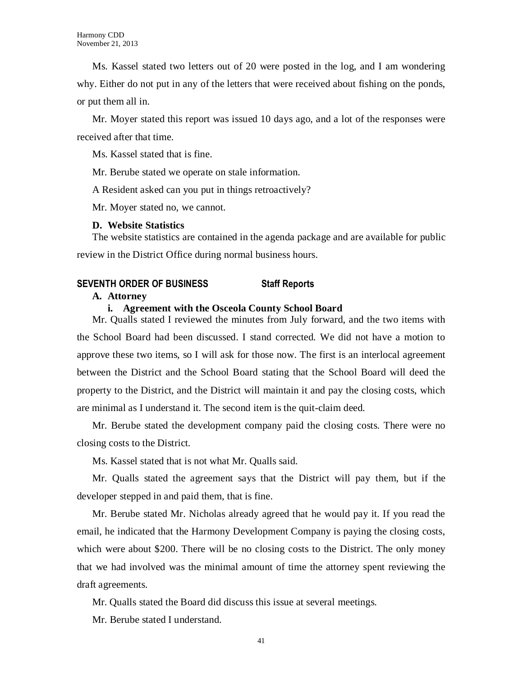Ms. Kassel stated two letters out of 20 were posted in the log, and I am wondering why. Either do not put in any of the letters that were received about fishing on the ponds, or put them all in.

Mr. Moyer stated this report was issued 10 days ago, and a lot of the responses were received after that time.

Ms. Kassel stated that is fine.

Mr. Berube stated we operate on stale information.

A Resident asked can you put in things retroactively?

Mr. Moyer stated no, we cannot.

#### **D. Website Statistics**

The website statistics are contained in the agenda package and are available for public review in the District Office during normal business hours.

# **SEVENTH ORDER OF BUSINESS Staff Reports**

#### **A. Attorney**

#### **i. Agreement with the Osceola County School Board**

Mr. Qualls stated I reviewed the minutes from July forward, and the two items with the School Board had been discussed. I stand corrected. We did not have a motion to approve these two items, so I will ask for those now. The first is an interlocal agreement between the District and the School Board stating that the School Board will deed the property to the District, and the District will maintain it and pay the closing costs, which are minimal as I understand it. The second item is the quit-claim deed.

Mr. Berube stated the development company paid the closing costs. There were no closing costs to the District.

Ms. Kassel stated that is not what Mr. Qualls said.

Mr. Qualls stated the agreement says that the District will pay them, but if the developer stepped in and paid them, that is fine.

Mr. Berube stated Mr. Nicholas already agreed that he would pay it. If you read the email, he indicated that the Harmony Development Company is paying the closing costs, which were about \$200. There will be no closing costs to the District. The only money that we had involved was the minimal amount of time the attorney spent reviewing the draft agreements.

Mr. Qualls stated the Board did discuss this issue at several meetings.

Mr. Berube stated I understand.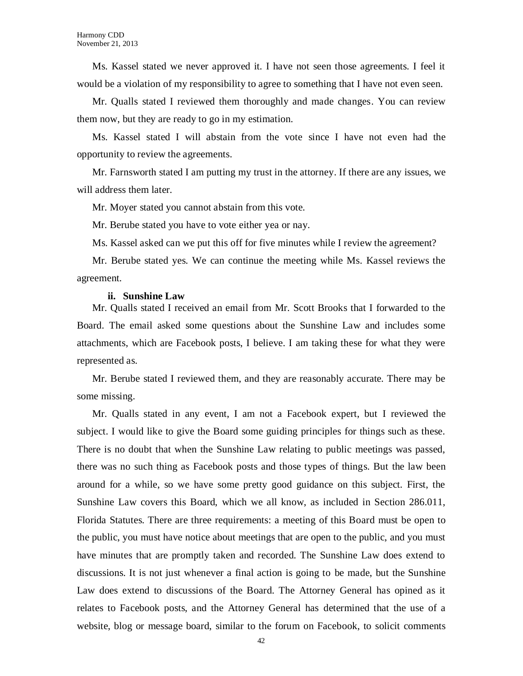Ms. Kassel stated we never approved it. I have not seen those agreements. I feel it would be a violation of my responsibility to agree to something that I have not even seen.

Mr. Qualls stated I reviewed them thoroughly and made changes. You can review them now, but they are ready to go in my estimation.

Ms. Kassel stated I will abstain from the vote since I have not even had the opportunity to review the agreements.

Mr. Farnsworth stated I am putting my trust in the attorney. If there are any issues, we will address them later.

Mr. Moyer stated you cannot abstain from this vote.

Mr. Berube stated you have to vote either yea or nay.

Ms. Kassel asked can we put this off for five minutes while I review the agreement?

Mr. Berube stated yes. We can continue the meeting while Ms. Kassel reviews the agreement.

#### **ii. Sunshine Law**

Mr. Qualls stated I received an email from Mr. Scott Brooks that I forwarded to the Board. The email asked some questions about the Sunshine Law and includes some attachments, which are Facebook posts, I believe. I am taking these for what they were represented as.

Mr. Berube stated I reviewed them, and they are reasonably accurate. There may be some missing.

Mr. Qualls stated in any event, I am not a Facebook expert, but I reviewed the subject. I would like to give the Board some guiding principles for things such as these. There is no doubt that when the Sunshine Law relating to public meetings was passed, there was no such thing as Facebook posts and those types of things. But the law been around for a while, so we have some pretty good guidance on this subject. First, the Sunshine Law covers this Board, which we all know, as included in Section 286.011, Florida Statutes. There are three requirements: a meeting of this Board must be open to the public, you must have notice about meetings that are open to the public, and you must have minutes that are promptly taken and recorded. The Sunshine Law does extend to discussions. It is not just whenever a final action is going to be made, but the Sunshine Law does extend to discussions of the Board. The Attorney General has opined as it relates to Facebook posts, and the Attorney General has determined that the use of a website, blog or message board, similar to the forum on Facebook, to solicit comments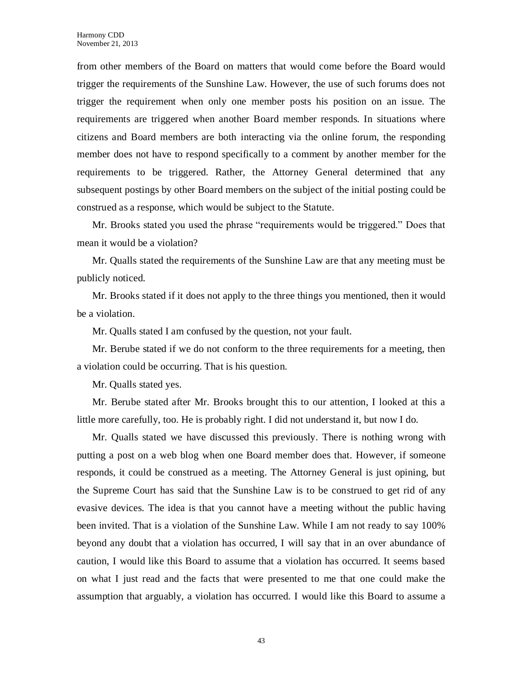from other members of the Board on matters that would come before the Board would trigger the requirements of the Sunshine Law. However, the use of such forums does not trigger the requirement when only one member posts his position on an issue. The requirements are triggered when another Board member responds. In situations where citizens and Board members are both interacting via the online forum, the responding member does not have to respond specifically to a comment by another member for the requirements to be triggered. Rather, the Attorney General determined that any subsequent postings by other Board members on the subject of the initial posting could be construed as a response, which would be subject to the Statute.

Mr. Brooks stated you used the phrase "requirements would be triggered." Does that mean it would be a violation?

Mr. Qualls stated the requirements of the Sunshine Law are that any meeting must be publicly noticed.

Mr. Brooks stated if it does not apply to the three things you mentioned, then it would be a violation.

Mr. Qualls stated I am confused by the question, not your fault.

Mr. Berube stated if we do not conform to the three requirements for a meeting, then a violation could be occurring. That is his question.

Mr. Qualls stated yes.

Mr. Berube stated after Mr. Brooks brought this to our attention, I looked at this a little more carefully, too. He is probably right. I did not understand it, but now I do.

Mr. Qualls stated we have discussed this previously. There is nothing wrong with putting a post on a web blog when one Board member does that. However, if someone responds, it could be construed as a meeting. The Attorney General is just opining, but the Supreme Court has said that the Sunshine Law is to be construed to get rid of any evasive devices. The idea is that you cannot have a meeting without the public having been invited. That is a violation of the Sunshine Law. While I am not ready to say 100% beyond any doubt that a violation has occurred, I will say that in an over abundance of caution, I would like this Board to assume that a violation has occurred. It seems based on what I just read and the facts that were presented to me that one could make the assumption that arguably, a violation has occurred. I would like this Board to assume a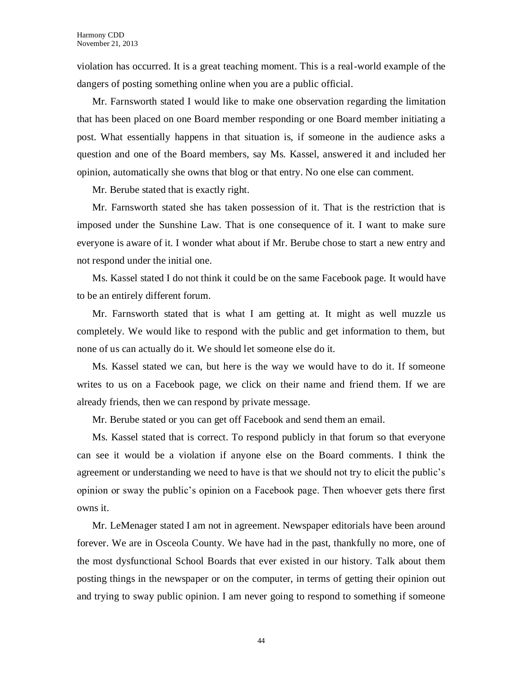violation has occurred. It is a great teaching moment. This is a real-world example of the dangers of posting something online when you are a public official.

Mr. Farnsworth stated I would like to make one observation regarding the limitation that has been placed on one Board member responding or one Board member initiating a post. What essentially happens in that situation is, if someone in the audience asks a question and one of the Board members, say Ms. Kassel, answered it and included her opinion, automatically she owns that blog or that entry. No one else can comment.

Mr. Berube stated that is exactly right.

Mr. Farnsworth stated she has taken possession of it. That is the restriction that is imposed under the Sunshine Law. That is one consequence of it. I want to make sure everyone is aware of it. I wonder what about if Mr. Berube chose to start a new entry and not respond under the initial one.

Ms. Kassel stated I do not think it could be on the same Facebook page. It would have to be an entirely different forum.

Mr. Farnsworth stated that is what I am getting at. It might as well muzzle us completely. We would like to respond with the public and get information to them, but none of us can actually do it. We should let someone else do it.

Ms. Kassel stated we can, but here is the way we would have to do it. If someone writes to us on a Facebook page, we click on their name and friend them. If we are already friends, then we can respond by private message.

Mr. Berube stated or you can get off Facebook and send them an email.

Ms. Kassel stated that is correct. To respond publicly in that forum so that everyone can see it would be a violation if anyone else on the Board comments. I think the agreement or understanding we need to have is that we should not try to elicit the public's opinion or sway the public's opinion on a Facebook page. Then whoever gets there first owns it.

Mr. LeMenager stated I am not in agreement. Newspaper editorials have been around forever. We are in Osceola County. We have had in the past, thankfully no more, one of the most dysfunctional School Boards that ever existed in our history. Talk about them posting things in the newspaper or on the computer, in terms of getting their opinion out and trying to sway public opinion. I am never going to respond to something if someone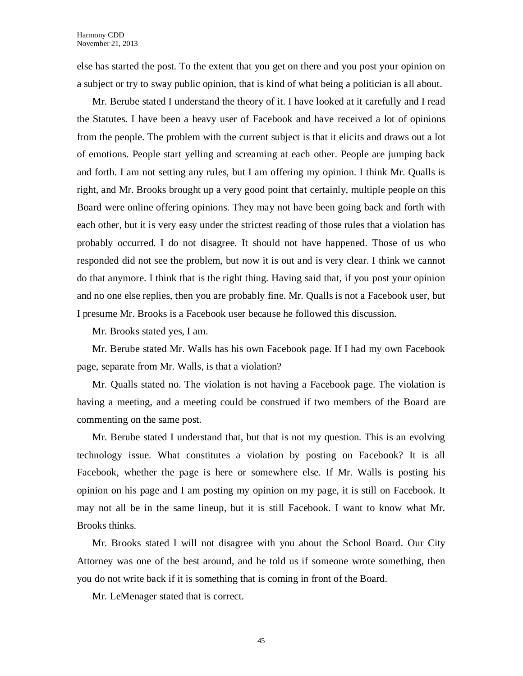else has started the post. To the extent that you get on there and you post your opinion on a subject or try to sway public opinion, that is kind of what being a politician is all about.

Mr. Berube stated I understand the theory of it. I have looked at it carefully and I read the Statutes. I have been a heavy user of Facebook and have received a lot of opinions from the people. The problem with the current subject is that it elicits and draws out a lot of emotions. People start yelling and screaming at each other. People are jumping back and forth. I am not setting any rules, but I am offering my opinion. I think Mr. Qualls is right, and Mr. Brooks brought up a very good point that certainly, multiple people on this Board were online offering opinions. They may not have been going back and forth with each other, but it is very easy under the strictest reading of those rules that a violation has probably occurred. I do not disagree. It should not have happened. Those of us who responded did not see the problem, but now it is out and is very clear. I think we cannot do that anymore. I think that is the right thing. Having said that, if you post your opinion and no one else replies, then you are probably fine. Mr. Qualls is not a Facebook user, but I presume Mr. Brooks is a Facebook user because he followed this discussion.

Mr. Brooks stated yes, I am.

Mr. Berube stated Mr. Walls has his own Facebook page. If I had my own Facebook page, separate from Mr. Walls, is that a violation?

Mr. Qualls stated no. The violation is not having a Facebook page. The violation is having a meeting, and a meeting could be construed if two members of the Board are commenting on the same post.

Mr. Berube stated I understand that, but that is not my question. This is an evolving technology issue. What constitutes a violation by posting on Facebook? It is all Facebook, whether the page is here or somewhere else. If Mr. Walls is posting his opinion on his page and I am posting my opinion on my page, it is still on Facebook. It may not all be in the same lineup, but it is still Facebook. I want to know what Mr. Brooks thinks.

Mr. Brooks stated I will not disagree with you about the School Board. Our City Attorney was one of the best around, and he told us if someone wrote something, then you do not write back if it is something that is coming in front of the Board.

Mr. LeMenager stated that is correct.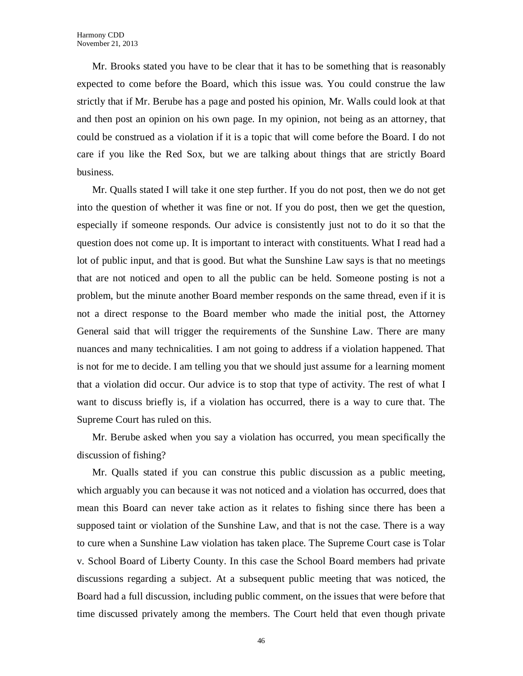Mr. Brooks stated you have to be clear that it has to be something that is reasonably expected to come before the Board, which this issue was. You could construe the law strictly that if Mr. Berube has a page and posted his opinion, Mr. Walls could look at that and then post an opinion on his own page. In my opinion, not being as an attorney, that could be construed as a violation if it is a topic that will come before the Board. I do not care if you like the Red Sox, but we are talking about things that are strictly Board business.

Mr. Qualls stated I will take it one step further. If you do not post, then we do not get into the question of whether it was fine or not. If you do post, then we get the question, especially if someone responds. Our advice is consistently just not to do it so that the question does not come up. It is important to interact with constituents. What I read had a lot of public input, and that is good. But what the Sunshine Law says is that no meetings that are not noticed and open to all the public can be held. Someone posting is not a problem, but the minute another Board member responds on the same thread, even if it is not a direct response to the Board member who made the initial post, the Attorney General said that will trigger the requirements of the Sunshine Law. There are many nuances and many technicalities. I am not going to address if a violation happened. That is not for me to decide. I am telling you that we should just assume for a learning moment that a violation did occur. Our advice is to stop that type of activity. The rest of what I want to discuss briefly is, if a violation has occurred, there is a way to cure that. The Supreme Court has ruled on this.

Mr. Berube asked when you say a violation has occurred, you mean specifically the discussion of fishing?

Mr. Qualls stated if you can construe this public discussion as a public meeting, which arguably you can because it was not noticed and a violation has occurred, does that mean this Board can never take action as it relates to fishing since there has been a supposed taint or violation of the Sunshine Law, and that is not the case. There is a way to cure when a Sunshine Law violation has taken place. The Supreme Court case is Tolar v. School Board of Liberty County. In this case the School Board members had private discussions regarding a subject. At a subsequent public meeting that was noticed, the Board had a full discussion, including public comment, on the issues that were before that time discussed privately among the members. The Court held that even though private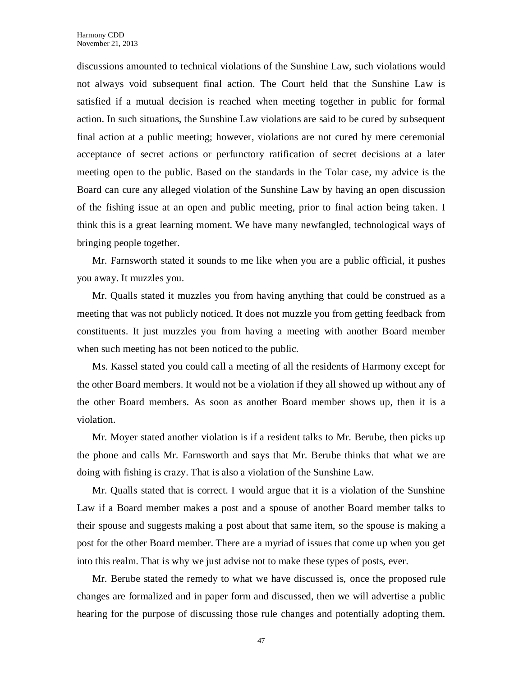discussions amounted to technical violations of the Sunshine Law, such violations would not always void subsequent final action. The Court held that the Sunshine Law is satisfied if a mutual decision is reached when meeting together in public for formal action. In such situations, the Sunshine Law violations are said to be cured by subsequent final action at a public meeting; however, violations are not cured by mere ceremonial acceptance of secret actions or perfunctory ratification of secret decisions at a later meeting open to the public. Based on the standards in the Tolar case, my advice is the Board can cure any alleged violation of the Sunshine Law by having an open discussion of the fishing issue at an open and public meeting, prior to final action being taken. I think this is a great learning moment. We have many newfangled, technological ways of bringing people together.

Mr. Farnsworth stated it sounds to me like when you are a public official, it pushes you away. It muzzles you.

Mr. Qualls stated it muzzles you from having anything that could be construed as a meeting that was not publicly noticed. It does not muzzle you from getting feedback from constituents. It just muzzles you from having a meeting with another Board member when such meeting has not been noticed to the public.

Ms. Kassel stated you could call a meeting of all the residents of Harmony except for the other Board members. It would not be a violation if they all showed up without any of the other Board members. As soon as another Board member shows up, then it is a violation.

Mr. Moyer stated another violation is if a resident talks to Mr. Berube, then picks up the phone and calls Mr. Farnsworth and says that Mr. Berube thinks that what we are doing with fishing is crazy. That is also a violation of the Sunshine Law.

Mr. Qualls stated that is correct. I would argue that it is a violation of the Sunshine Law if a Board member makes a post and a spouse of another Board member talks to their spouse and suggests making a post about that same item, so the spouse is making a post for the other Board member. There are a myriad of issues that come up when you get into this realm. That is why we just advise not to make these types of posts, ever.

Mr. Berube stated the remedy to what we have discussed is, once the proposed rule changes are formalized and in paper form and discussed, then we will advertise a public hearing for the purpose of discussing those rule changes and potentially adopting them.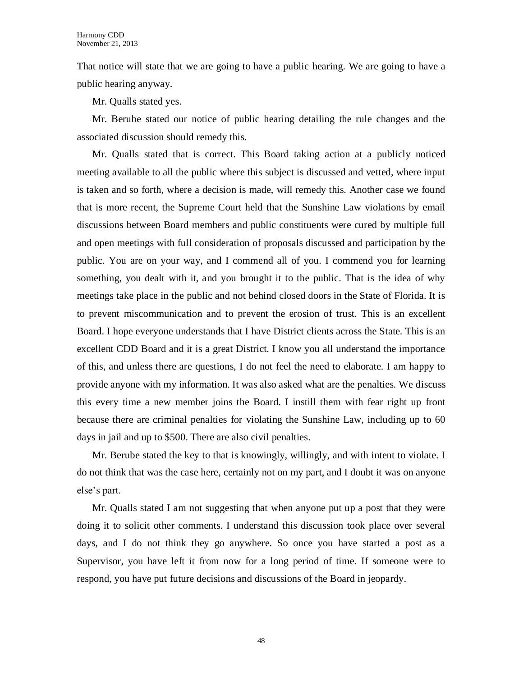That notice will state that we are going to have a public hearing. We are going to have a public hearing anyway.

Mr. Qualls stated yes.

Mr. Berube stated our notice of public hearing detailing the rule changes and the associated discussion should remedy this.

Mr. Qualls stated that is correct. This Board taking action at a publicly noticed meeting available to all the public where this subject is discussed and vetted, where input is taken and so forth, where a decision is made, will remedy this. Another case we found that is more recent, the Supreme Court held that the Sunshine Law violations by email discussions between Board members and public constituents were cured by multiple full and open meetings with full consideration of proposals discussed and participation by the public. You are on your way, and I commend all of you. I commend you for learning something, you dealt with it, and you brought it to the public. That is the idea of why meetings take place in the public and not behind closed doors in the State of Florida. It is to prevent miscommunication and to prevent the erosion of trust. This is an excellent Board. I hope everyone understands that I have District clients across the State. This is an excellent CDD Board and it is a great District. I know you all understand the importance of this, and unless there are questions, I do not feel the need to elaborate. I am happy to provide anyone with my information. It was also asked what are the penalties. We discuss this every time a new member joins the Board. I instill them with fear right up front because there are criminal penalties for violating the Sunshine Law, including up to 60 days in jail and up to \$500. There are also civil penalties.

Mr. Berube stated the key to that is knowingly, willingly, and with intent to violate. I do not think that was the case here, certainly not on my part, and I doubt it was on anyone else's part.

Mr. Qualls stated I am not suggesting that when anyone put up a post that they were doing it to solicit other comments. I understand this discussion took place over several days, and I do not think they go anywhere. So once you have started a post as a Supervisor, you have left it from now for a long period of time. If someone were to respond, you have put future decisions and discussions of the Board in jeopardy.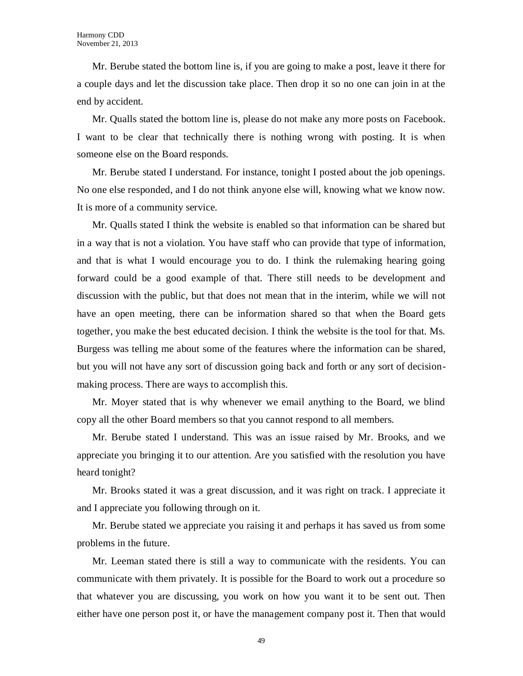Mr. Berube stated the bottom line is, if you are going to make a post, leave it there for a couple days and let the discussion take place. Then drop it so no one can join in at the end by accident.

Mr. Qualls stated the bottom line is, please do not make any more posts on Facebook. I want to be clear that technically there is nothing wrong with posting. It is when someone else on the Board responds.

Mr. Berube stated I understand. For instance, tonight I posted about the job openings. No one else responded, and I do not think anyone else will, knowing what we know now. It is more of a community service.

Mr. Qualls stated I think the website is enabled so that information can be shared but in a way that is not a violation. You have staff who can provide that type of information, and that is what I would encourage you to do. I think the rulemaking hearing going forward could be a good example of that. There still needs to be development and discussion with the public, but that does not mean that in the interim, while we will not have an open meeting, there can be information shared so that when the Board gets together, you make the best educated decision. I think the website is the tool for that. Ms. Burgess was telling me about some of the features where the information can be shared, but you will not have any sort of discussion going back and forth or any sort of decisionmaking process. There are ways to accomplish this.

Mr. Moyer stated that is why whenever we email anything to the Board, we blind copy all the other Board members so that you cannot respond to all members.

Mr. Berube stated I understand. This was an issue raised by Mr. Brooks, and we appreciate you bringing it to our attention. Are you satisfied with the resolution you have heard tonight?

Mr. Brooks stated it was a great discussion, and it was right on track. I appreciate it and I appreciate you following through on it.

Mr. Berube stated we appreciate you raising it and perhaps it has saved us from some problems in the future.

Mr. Leeman stated there is still a way to communicate with the residents. You can communicate with them privately. It is possible for the Board to work out a procedure so that whatever you are discussing, you work on how you want it to be sent out. Then either have one person post it, or have the management company post it. Then that would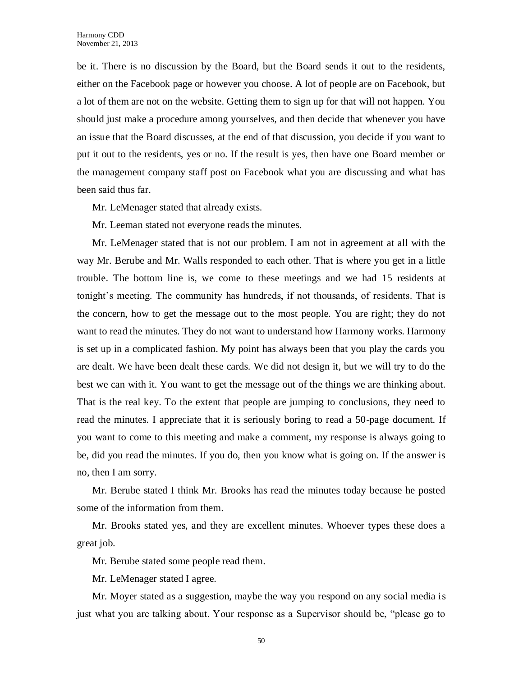be it. There is no discussion by the Board, but the Board sends it out to the residents, either on the Facebook page or however you choose. A lot of people are on Facebook, but a lot of them are not on the website. Getting them to sign up for that will not happen. You should just make a procedure among yourselves, and then decide that whenever you have an issue that the Board discusses, at the end of that discussion, you decide if you want to put it out to the residents, yes or no. If the result is yes, then have one Board member or the management company staff post on Facebook what you are discussing and what has been said thus far.

Mr. LeMenager stated that already exists.

Mr. Leeman stated not everyone reads the minutes.

Mr. LeMenager stated that is not our problem. I am not in agreement at all with the way Mr. Berube and Mr. Walls responded to each other. That is where you get in a little trouble. The bottom line is, we come to these meetings and we had 15 residents at tonight's meeting. The community has hundreds, if not thousands, of residents. That is the concern, how to get the message out to the most people. You are right; they do not want to read the minutes. They do not want to understand how Harmony works. Harmony is set up in a complicated fashion. My point has always been that you play the cards you are dealt. We have been dealt these cards. We did not design it, but we will try to do the best we can with it. You want to get the message out of the things we are thinking about. That is the real key. To the extent that people are jumping to conclusions, they need to read the minutes. I appreciate that it is seriously boring to read a 50-page document. If you want to come to this meeting and make a comment, my response is always going to be, did you read the minutes. If you do, then you know what is going on. If the answer is no, then I am sorry.

Mr. Berube stated I think Mr. Brooks has read the minutes today because he posted some of the information from them.

Mr. Brooks stated yes, and they are excellent minutes. Whoever types these does a great job.

Mr. Berube stated some people read them.

Mr. LeMenager stated I agree.

Mr. Moyer stated as a suggestion, maybe the way you respond on any social media is just what you are talking about. Your response as a Supervisor should be, "please go to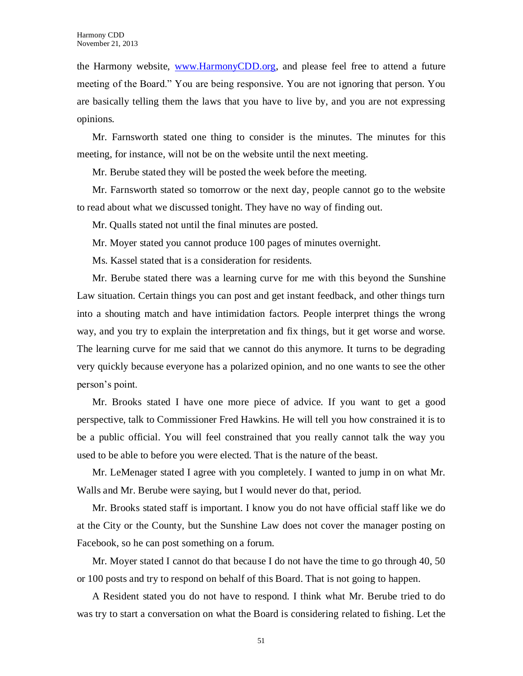the Harmony website, [www.HarmonyCDD.org,](http://www.harmonycdd.org/) and please feel free to attend a future meeting of the Board." You are being responsive. You are not ignoring that person. You are basically telling them the laws that you have to live by, and you are not expressing opinions.

Mr. Farnsworth stated one thing to consider is the minutes. The minutes for this meeting, for instance, will not be on the website until the next meeting.

Mr. Berube stated they will be posted the week before the meeting.

Mr. Farnsworth stated so tomorrow or the next day, people cannot go to the website to read about what we discussed tonight. They have no way of finding out.

Mr. Qualls stated not until the final minutes are posted.

Mr. Moyer stated you cannot produce 100 pages of minutes overnight.

Ms. Kassel stated that is a consideration for residents.

Mr. Berube stated there was a learning curve for me with this beyond the Sunshine Law situation. Certain things you can post and get instant feedback, and other things turn into a shouting match and have intimidation factors. People interpret things the wrong way, and you try to explain the interpretation and fix things, but it get worse and worse. The learning curve for me said that we cannot do this anymore. It turns to be degrading very quickly because everyone has a polarized opinion, and no one wants to see the other person's point.

Mr. Brooks stated I have one more piece of advice. If you want to get a good perspective, talk to Commissioner Fred Hawkins. He will tell you how constrained it is to be a public official. You will feel constrained that you really cannot talk the way you used to be able to before you were elected. That is the nature of the beast.

Mr. LeMenager stated I agree with you completely. I wanted to jump in on what Mr. Walls and Mr. Berube were saying, but I would never do that, period.

Mr. Brooks stated staff is important. I know you do not have official staff like we do at the City or the County, but the Sunshine Law does not cover the manager posting on Facebook, so he can post something on a forum.

Mr. Moyer stated I cannot do that because I do not have the time to go through 40, 50 or 100 posts and try to respond on behalf of this Board. That is not going to happen.

A Resident stated you do not have to respond. I think what Mr. Berube tried to do was try to start a conversation on what the Board is considering related to fishing. Let the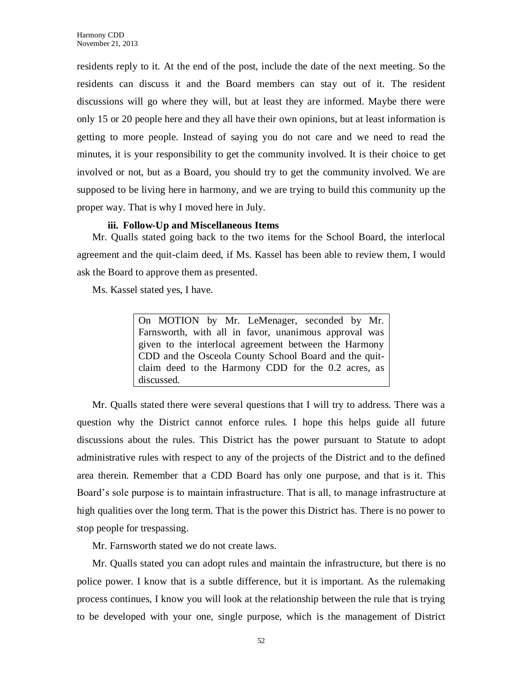residents reply to it. At the end of the post, include the date of the next meeting. So the residents can discuss it and the Board members can stay out of it. The resident discussions will go where they will, but at least they are informed. Maybe there were only 15 or 20 people here and they all have their own opinions, but at least information is getting to more people. Instead of saying you do not care and we need to read the minutes, it is your responsibility to get the community involved. It is their choice to get involved or not, but as a Board, you should try to get the community involved. We are supposed to be living here in harmony, and we are trying to build this community up the proper way. That is why I moved here in July.

#### **iii. Follow-Up and Miscellaneous Items**

Mr. Qualls stated going back to the two items for the School Board, the interlocal agreement and the quit-claim deed, if Ms. Kassel has been able to review them, I would ask the Board to approve them as presented.

Ms. Kassel stated yes, I have.

On MOTION by Mr. LeMenager, seconded by Mr. Farnsworth, with all in favor, unanimous approval was given to the interlocal agreement between the Harmony CDD and the Osceola County School Board and the quitclaim deed to the Harmony CDD for the 0.2 acres, as discussed.

Mr. Qualls stated there were several questions that I will try to address. There was a question why the District cannot enforce rules. I hope this helps guide all future discussions about the rules. This District has the power pursuant to Statute to adopt administrative rules with respect to any of the projects of the District and to the defined area therein. Remember that a CDD Board has only one purpose, and that is it. This Board's sole purpose is to maintain infrastructure. That is all, to manage infrastructure at high qualities over the long term. That is the power this District has. There is no power to stop people for trespassing.

Mr. Farnsworth stated we do not create laws.

Mr. Qualls stated you can adopt rules and maintain the infrastructure, but there is no police power. I know that is a subtle difference, but it is important. As the rulemaking process continues, I know you will look at the relationship between the rule that is trying to be developed with your one, single purpose, which is the management of District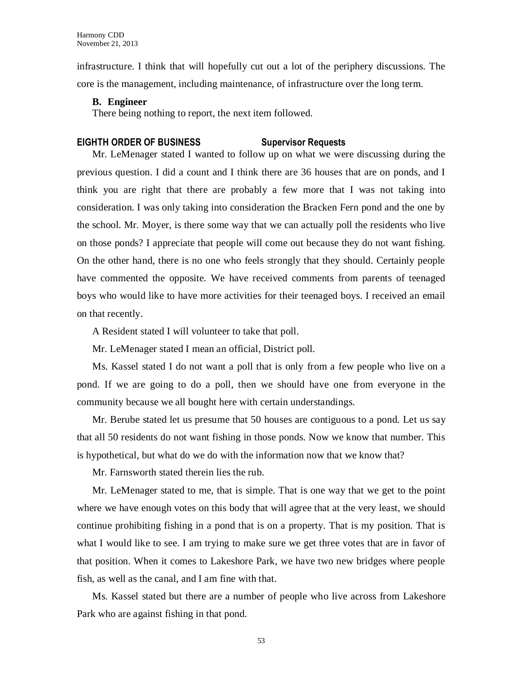infrastructure. I think that will hopefully cut out a lot of the periphery discussions. The core is the management, including maintenance, of infrastructure over the long term.

#### **B. Engineer**

There being nothing to report, the next item followed.

#### **EIGHTH ORDER OF BUSINESS Supervisor Requests**

Mr. LeMenager stated I wanted to follow up on what we were discussing during the previous question. I did a count and I think there are 36 houses that are on ponds, and I think you are right that there are probably a few more that I was not taking into consideration. I was only taking into consideration the Bracken Fern pond and the one by the school. Mr. Moyer, is there some way that we can actually poll the residents who live on those ponds? I appreciate that people will come out because they do not want fishing. On the other hand, there is no one who feels strongly that they should. Certainly people have commented the opposite. We have received comments from parents of teenaged boys who would like to have more activities for their teenaged boys. I received an email on that recently.

A Resident stated I will volunteer to take that poll.

Mr. LeMenager stated I mean an official, District poll.

Ms. Kassel stated I do not want a poll that is only from a few people who live on a pond. If we are going to do a poll, then we should have one from everyone in the community because we all bought here with certain understandings.

Mr. Berube stated let us presume that 50 houses are contiguous to a pond. Let us say that all 50 residents do not want fishing in those ponds. Now we know that number. This is hypothetical, but what do we do with the information now that we know that?

Mr. Farnsworth stated therein lies the rub.

Mr. LeMenager stated to me, that is simple. That is one way that we get to the point where we have enough votes on this body that will agree that at the very least, we should continue prohibiting fishing in a pond that is on a property. That is my position. That is what I would like to see. I am trying to make sure we get three votes that are in favor of that position. When it comes to Lakeshore Park, we have two new bridges where people fish, as well as the canal, and I am fine with that.

Ms. Kassel stated but there are a number of people who live across from Lakeshore Park who are against fishing in that pond.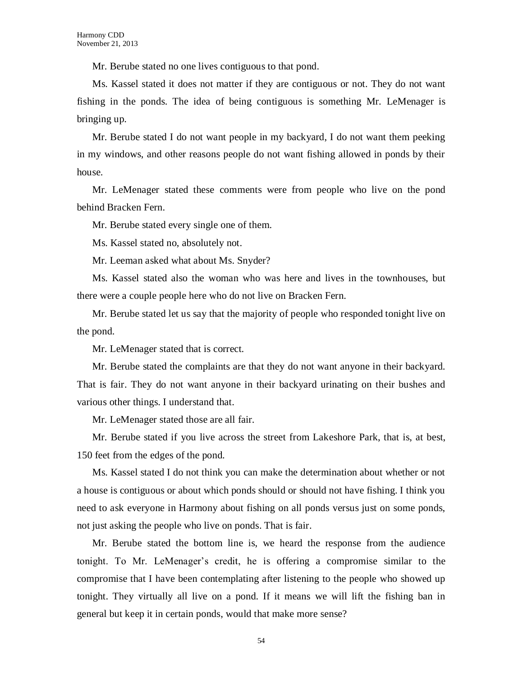Mr. Berube stated no one lives contiguous to that pond.

Ms. Kassel stated it does not matter if they are contiguous or not. They do not want fishing in the ponds. The idea of being contiguous is something Mr. LeMenager is bringing up.

Mr. Berube stated I do not want people in my backyard, I do not want them peeking in my windows, and other reasons people do not want fishing allowed in ponds by their house.

Mr. LeMenager stated these comments were from people who live on the pond behind Bracken Fern.

Mr. Berube stated every single one of them.

Ms. Kassel stated no, absolutely not.

Mr. Leeman asked what about Ms. Snyder?

Ms. Kassel stated also the woman who was here and lives in the townhouses, but there were a couple people here who do not live on Bracken Fern.

Mr. Berube stated let us say that the majority of people who responded tonight live on the pond.

Mr. LeMenager stated that is correct.

Mr. Berube stated the complaints are that they do not want anyone in their backyard. That is fair. They do not want anyone in their backyard urinating on their bushes and various other things. I understand that.

Mr. LeMenager stated those are all fair.

Mr. Berube stated if you live across the street from Lakeshore Park, that is, at best, 150 feet from the edges of the pond.

Ms. Kassel stated I do not think you can make the determination about whether or not a house is contiguous or about which ponds should or should not have fishing. I think you need to ask everyone in Harmony about fishing on all ponds versus just on some ponds, not just asking the people who live on ponds. That is fair.

Mr. Berube stated the bottom line is, we heard the response from the audience tonight. To Mr. LeMenager's credit, he is offering a compromise similar to the compromise that I have been contemplating after listening to the people who showed up tonight. They virtually all live on a pond. If it means we will lift the fishing ban in general but keep it in certain ponds, would that make more sense?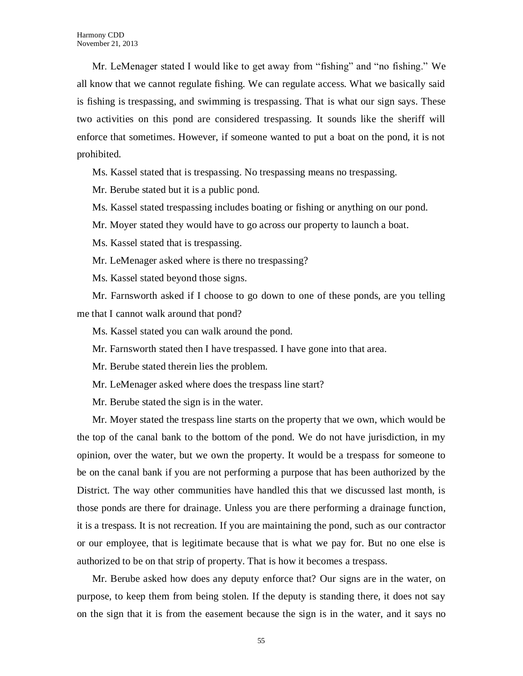Mr. LeMenager stated I would like to get away from "fishing" and "no fishing." We all know that we cannot regulate fishing. We can regulate access. What we basically said is fishing is trespassing, and swimming is trespassing. That is what our sign says. These two activities on this pond are considered trespassing. It sounds like the sheriff will enforce that sometimes. However, if someone wanted to put a boat on the pond, it is not prohibited.

Ms. Kassel stated that is trespassing. No trespassing means no trespassing.

Mr. Berube stated but it is a public pond.

Ms. Kassel stated trespassing includes boating or fishing or anything on our pond.

Mr. Moyer stated they would have to go across our property to launch a boat.

Ms. Kassel stated that is trespassing.

Mr. LeMenager asked where is there no trespassing?

Ms. Kassel stated beyond those signs.

Mr. Farnsworth asked if I choose to go down to one of these ponds, are you telling me that I cannot walk around that pond?

Ms. Kassel stated you can walk around the pond.

Mr. Farnsworth stated then I have trespassed. I have gone into that area.

Mr. Berube stated therein lies the problem.

Mr. LeMenager asked where does the trespass line start?

Mr. Berube stated the sign is in the water.

Mr. Moyer stated the trespass line starts on the property that we own, which would be the top of the canal bank to the bottom of the pond. We do not have jurisdiction, in my opinion, over the water, but we own the property. It would be a trespass for someone to be on the canal bank if you are not performing a purpose that has been authorized by the District. The way other communities have handled this that we discussed last month, is those ponds are there for drainage. Unless you are there performing a drainage function, it is a trespass. It is not recreation. If you are maintaining the pond, such as our contractor or our employee, that is legitimate because that is what we pay for. But no one else is authorized to be on that strip of property. That is how it becomes a trespass.

Mr. Berube asked how does any deputy enforce that? Our signs are in the water, on purpose, to keep them from being stolen. If the deputy is standing there, it does not say on the sign that it is from the easement because the sign is in the water, and it says no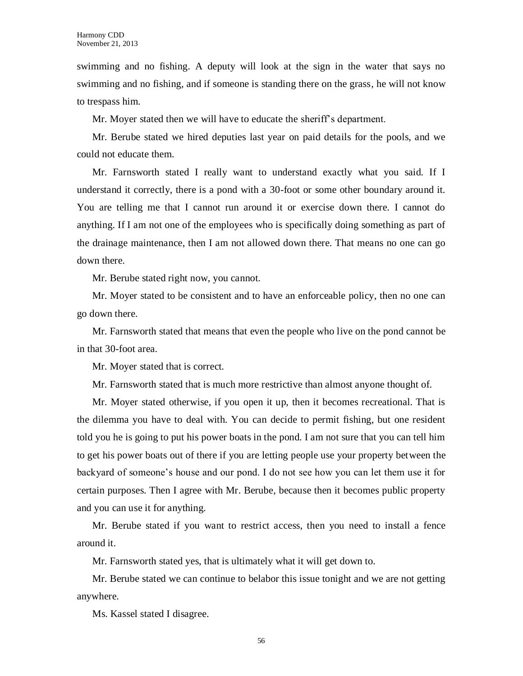swimming and no fishing. A deputy will look at the sign in the water that says no swimming and no fishing, and if someone is standing there on the grass, he will not know to trespass him.

Mr. Moyer stated then we will have to educate the sheriff's department.

Mr. Berube stated we hired deputies last year on paid details for the pools, and we could not educate them.

Mr. Farnsworth stated I really want to understand exactly what you said. If I understand it correctly, there is a pond with a 30-foot or some other boundary around it. You are telling me that I cannot run around it or exercise down there. I cannot do anything. If I am not one of the employees who is specifically doing something as part of the drainage maintenance, then I am not allowed down there. That means no one can go down there.

Mr. Berube stated right now, you cannot.

Mr. Moyer stated to be consistent and to have an enforceable policy, then no one can go down there.

Mr. Farnsworth stated that means that even the people who live on the pond cannot be in that 30-foot area.

Mr. Moyer stated that is correct.

Mr. Farnsworth stated that is much more restrictive than almost anyone thought of.

Mr. Moyer stated otherwise, if you open it up, then it becomes recreational. That is the dilemma you have to deal with. You can decide to permit fishing, but one resident told you he is going to put his power boats in the pond. I am not sure that you can tell him to get his power boats out of there if you are letting people use your property between the backyard of someone's house and our pond. I do not see how you can let them use it for certain purposes. Then I agree with Mr. Berube, because then it becomes public property and you can use it for anything.

Mr. Berube stated if you want to restrict access, then you need to install a fence around it.

Mr. Farnsworth stated yes, that is ultimately what it will get down to.

Mr. Berube stated we can continue to belabor this issue tonight and we are not getting anywhere.

Ms. Kassel stated I disagree.

56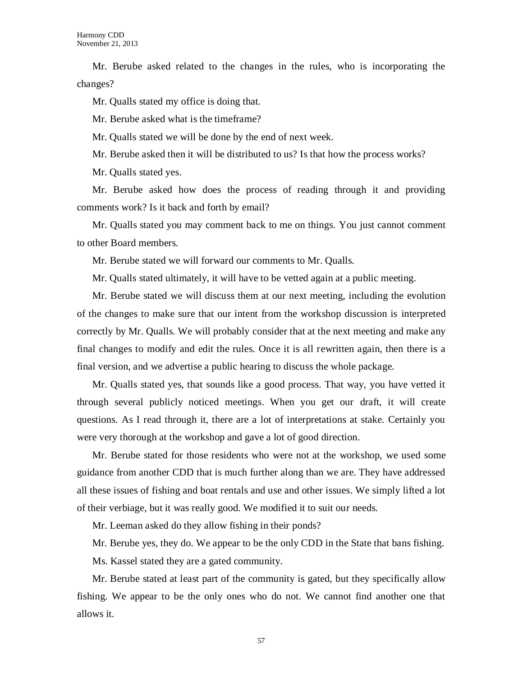Mr. Berube asked related to the changes in the rules, who is incorporating the changes?

Mr. Qualls stated my office is doing that.

Mr. Berube asked what is the timeframe?

Mr. Qualls stated we will be done by the end of next week.

Mr. Berube asked then it will be distributed to us? Is that how the process works?

Mr. Qualls stated yes.

Mr. Berube asked how does the process of reading through it and providing comments work? Is it back and forth by email?

Mr. Qualls stated you may comment back to me on things. You just cannot comment to other Board members.

Mr. Berube stated we will forward our comments to Mr. Qualls.

Mr. Qualls stated ultimately, it will have to be vetted again at a public meeting.

Mr. Berube stated we will discuss them at our next meeting, including the evolution of the changes to make sure that our intent from the workshop discussion is interpreted correctly by Mr. Qualls. We will probably consider that at the next meeting and make any final changes to modify and edit the rules. Once it is all rewritten again, then there is a final version, and we advertise a public hearing to discuss the whole package.

Mr. Qualls stated yes, that sounds like a good process. That way, you have vetted it through several publicly noticed meetings. When you get our draft, it will create questions. As I read through it, there are a lot of interpretations at stake. Certainly you were very thorough at the workshop and gave a lot of good direction.

Mr. Berube stated for those residents who were not at the workshop, we used some guidance from another CDD that is much further along than we are. They have addressed all these issues of fishing and boat rentals and use and other issues. We simply lifted a lot of their verbiage, but it was really good. We modified it to suit our needs.

Mr. Leeman asked do they allow fishing in their ponds?

Mr. Berube yes, they do. We appear to be the only CDD in the State that bans fishing.

Ms. Kassel stated they are a gated community.

Mr. Berube stated at least part of the community is gated, but they specifically allow fishing. We appear to be the only ones who do not. We cannot find another one that allows it.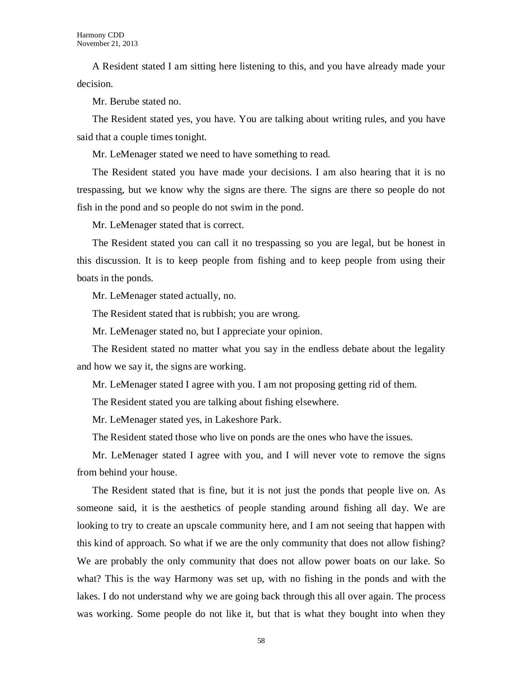A Resident stated I am sitting here listening to this, and you have already made your decision.

Mr. Berube stated no.

The Resident stated yes, you have. You are talking about writing rules, and you have said that a couple times tonight.

Mr. LeMenager stated we need to have something to read.

The Resident stated you have made your decisions. I am also hearing that it is no trespassing, but we know why the signs are there. The signs are there so people do not fish in the pond and so people do not swim in the pond.

Mr. LeMenager stated that is correct.

The Resident stated you can call it no trespassing so you are legal, but be honest in this discussion. It is to keep people from fishing and to keep people from using their boats in the ponds.

Mr. LeMenager stated actually, no.

The Resident stated that is rubbish; you are wrong.

Mr. LeMenager stated no, but I appreciate your opinion.

The Resident stated no matter what you say in the endless debate about the legality and how we say it, the signs are working.

Mr. LeMenager stated I agree with you. I am not proposing getting rid of them.

The Resident stated you are talking about fishing elsewhere.

Mr. LeMenager stated yes, in Lakeshore Park.

The Resident stated those who live on ponds are the ones who have the issues.

Mr. LeMenager stated I agree with you, and I will never vote to remove the signs from behind your house.

The Resident stated that is fine, but it is not just the ponds that people live on. As someone said, it is the aesthetics of people standing around fishing all day. We are looking to try to create an upscale community here, and I am not seeing that happen with this kind of approach. So what if we are the only community that does not allow fishing? We are probably the only community that does not allow power boats on our lake. So what? This is the way Harmony was set up, with no fishing in the ponds and with the lakes. I do not understand why we are going back through this all over again. The process was working. Some people do not like it, but that is what they bought into when they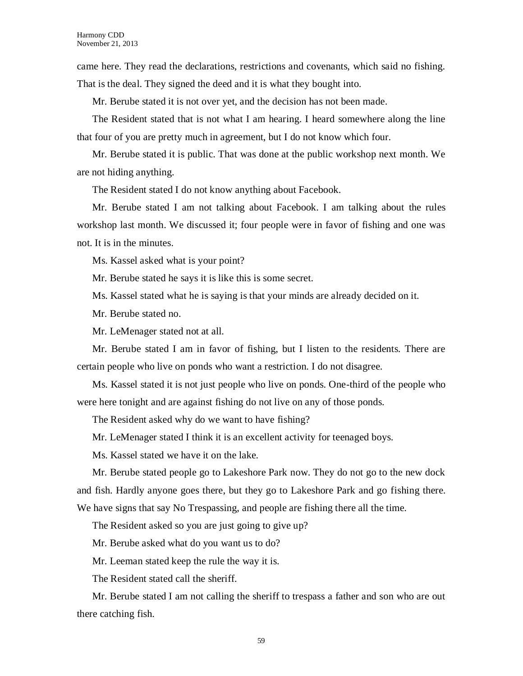came here. They read the declarations, restrictions and covenants, which said no fishing. That is the deal. They signed the deed and it is what they bought into.

Mr. Berube stated it is not over yet, and the decision has not been made.

The Resident stated that is not what I am hearing. I heard somewhere along the line that four of you are pretty much in agreement, but I do not know which four.

Mr. Berube stated it is public. That was done at the public workshop next month. We are not hiding anything.

The Resident stated I do not know anything about Facebook.

Mr. Berube stated I am not talking about Facebook. I am talking about the rules workshop last month. We discussed it; four people were in favor of fishing and one was not. It is in the minutes.

Ms. Kassel asked what is your point?

Mr. Berube stated he says it is like this is some secret.

Ms. Kassel stated what he is saying is that your minds are already decided on it.

Mr. Berube stated no.

Mr. LeMenager stated not at all.

Mr. Berube stated I am in favor of fishing, but I listen to the residents. There are certain people who live on ponds who want a restriction. I do not disagree.

Ms. Kassel stated it is not just people who live on ponds. One-third of the people who were here tonight and are against fishing do not live on any of those ponds.

The Resident asked why do we want to have fishing?

Mr. LeMenager stated I think it is an excellent activity for teenaged boys.

Ms. Kassel stated we have it on the lake.

Mr. Berube stated people go to Lakeshore Park now. They do not go to the new dock and fish. Hardly anyone goes there, but they go to Lakeshore Park and go fishing there. We have signs that say No Trespassing, and people are fishing there all the time.

The Resident asked so you are just going to give up?

Mr. Berube asked what do you want us to do?

Mr. Leeman stated keep the rule the way it is.

The Resident stated call the sheriff.

Mr. Berube stated I am not calling the sheriff to trespass a father and son who are out there catching fish.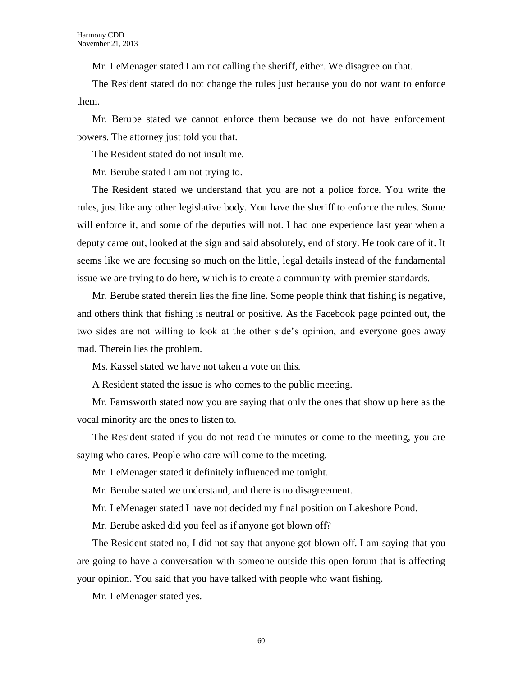Mr. LeMenager stated I am not calling the sheriff, either. We disagree on that.

The Resident stated do not change the rules just because you do not want to enforce them.

Mr. Berube stated we cannot enforce them because we do not have enforcement powers. The attorney just told you that.

The Resident stated do not insult me.

Mr. Berube stated I am not trying to.

The Resident stated we understand that you are not a police force. You write the rules, just like any other legislative body. You have the sheriff to enforce the rules. Some will enforce it, and some of the deputies will not. I had one experience last year when a deputy came out, looked at the sign and said absolutely, end of story. He took care of it. It seems like we are focusing so much on the little, legal details instead of the fundamental issue we are trying to do here, which is to create a community with premier standards.

Mr. Berube stated therein lies the fine line. Some people think that fishing is negative, and others think that fishing is neutral or positive. As the Facebook page pointed out, the two sides are not willing to look at the other side's opinion, and everyone goes away mad. Therein lies the problem.

Ms. Kassel stated we have not taken a vote on this.

A Resident stated the issue is who comes to the public meeting.

Mr. Farnsworth stated now you are saying that only the ones that show up here as the vocal minority are the ones to listen to.

The Resident stated if you do not read the minutes or come to the meeting, you are saying who cares. People who care will come to the meeting.

Mr. LeMenager stated it definitely influenced me tonight.

Mr. Berube stated we understand, and there is no disagreement.

Mr. LeMenager stated I have not decided my final position on Lakeshore Pond.

Mr. Berube asked did you feel as if anyone got blown off?

The Resident stated no, I did not say that anyone got blown off. I am saying that you are going to have a conversation with someone outside this open forum that is affecting your opinion. You said that you have talked with people who want fishing.

Mr. LeMenager stated yes.